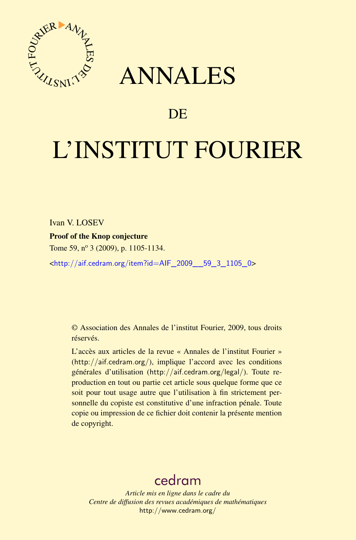

## ANNALES

### **DE**

# L'INSTITUT FOURIER

Ivan V. LOSEV

Proof of the Knop conjecture

Tome 59, nº 3 (2009), p. 1105-1134.

<[http://aif.cedram.org/item?id=AIF\\_2009\\_\\_59\\_3\\_1105\\_0](http://aif.cedram.org/item?id=AIF_2009__59_3_1105_0)>

© Association des Annales de l'institut Fourier, 2009, tous droits réservés.

L'accès aux articles de la revue « Annales de l'institut Fourier » (<http://aif.cedram.org/>), implique l'accord avec les conditions générales d'utilisation (<http://aif.cedram.org/legal/>). Toute reproduction en tout ou partie cet article sous quelque forme que ce soit pour tout usage autre que l'utilisation à fin strictement personnelle du copiste est constitutive d'une infraction pénale. Toute copie ou impression de ce fichier doit contenir la présente mention de copyright.

## [cedram](http://www.cedram.org/)

*Article mis en ligne dans le cadre du Centre de diffusion des revues académiques de mathématiques* <http://www.cedram.org/>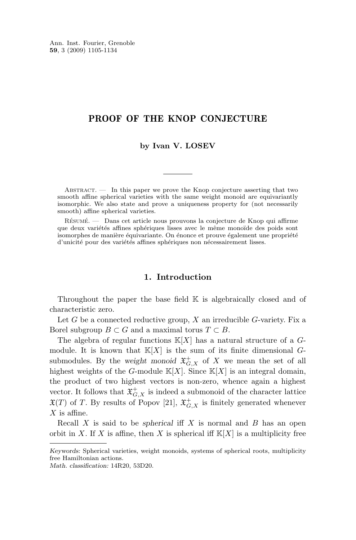Ann. Inst. Fourier, Grenoble **59**, 3 (2009) 1105-1134

#### PROOF OF THE KNOP CONJECTURE

#### **by Ivan V. LOSEV**

ABSTRACT. — In this paper we prove the Knop conjecture asserting that two smooth affine spherical varieties with the same weight monoid are equivariantly isomorphic. We also state and prove a uniqueness property for (not necessarily smooth) affine spherical varieties.

Résumé. — Dans cet article nous prouvons la conjecture de Knop qui affirme que deux variétés affines sphériques lisses avec le même monoïde des poids sont isomorphes de manière équivariante. On énonce et prouve également une propriété d'unicité pour des variétés affines sphériques non nécessairement lisses.

#### **1. Introduction**

Throughout the paper the base field  $K$  is algebraically closed and of characteristic zero.

Let G be a connected reductive group,  $X$  an irreducible G-variety. Fix a Borel subgroup  $B \subset G$  and a maximal torus  $T \subset B$ .

The algebra of regular functions  $\mathbb{K}[X]$  has a natural structure of a Gmodule. It is known that  $\mathbb{K}[X]$  is the sum of its finite dimensional Gsubmodules. By the *weight monoid*  $\mathfrak{X}^+_{G,X}$  of X we mean the set of all highest weights of the G-module  $\mathbb{K}[X]$ . Since  $\mathbb{K}[X]$  is an integral domain, the product of two highest vectors is non-zero, whence again a highest vector. It follows that  $\mathfrak{X}^+_{G,X}$  is indeed a submonoid of the character lattice  $\mathfrak{X}(T)$  of T. By results of Popov [\[21\]](#page-29-0),  $\mathfrak{X}^+_{G,X}$  is finitely generated whenever  $X$  is affine.

Recall X is said to be *spherical* iff X is normal and B has an open orbit in X. If X is affine, then X is spherical iff  $\mathbb{K}[X]$  is a multiplicity free

*Keywords:* Spherical varieties, weight monoids, systems of spherical roots, multiplicity free Hamiltonian actions.

*Math. classification:* 14R20, 53D20.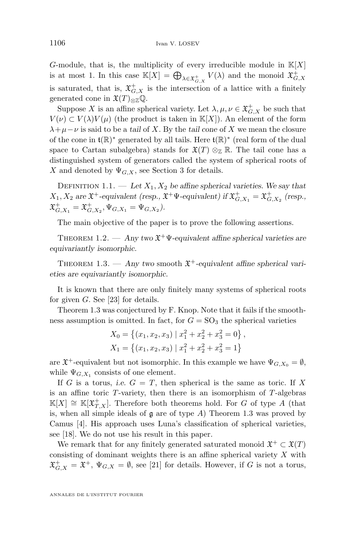<span id="page-2-0"></span>G-module, that is, the multiplicity of every irreducible module in  $K[X]$ is at most 1. In this case  $\mathbb{K}[X] = \bigoplus_{\lambda \in \mathfrak{X}^+_{G,X}} V(\lambda)$  and the monoid  $\mathfrak{X}^+_{G,X}$ is saturated, that is,  $\mathfrak{X}^+_{G,X}$  is the intersection of a lattice with a finitely generated cone in  $\mathfrak{X}(T)_{\otimes \mathbb{Z}}\mathbb{Q}$ .

Suppose X is an affine spherical variety. Let  $\lambda, \mu, \nu \in \mathfrak{X}^+_{G, X}$  be such that  $V(\nu) \subset V(\lambda)V(\mu)$  (the product is taken in K[X]). An element of the form  $\lambda + \mu - \nu$  is said to be a *tail* of X. By the *tail cone* of X we mean the closure of the cone in  $\mathfrak{t}(\mathbb{R})^*$  generated by all tails. Here  $\mathfrak{t}(\mathbb{R})^*$  (real form of the dual space to Cartan subalgebra) stands for  $\mathfrak{X}(T) \otimes_{\mathbb{Z}} \mathbb{R}$ . The tail cone has a distinguished system of generators called the system of spherical roots of X and denoted by  $\Psi_{G,X}$ , see Section [3](#page-6-0) for details.

DEFINITION 1.1. — Let  $X_1, X_2$  be affine spherical varieties. We say that  $X_1, X_2$  are  $\mathfrak{X}^+$ -equivalent (resp.,  $\mathfrak{X}^+$  $\Psi$ -equivalent) if  $\mathfrak{X}^+_{G,X_1} = \mathfrak{X}^+_{G,X_2}$  (resp.,  $\mathfrak{X}^+_{G, X_1} = \mathfrak{X}^+_{G, X_2}, \Psi_{G, X_1} = \Psi_{G, X_2}.$ 

The main objective of the paper is to prove the following assertions.

THEOREM 1.2.  $-$  *Any two*  $\mathfrak{X}^+\Psi$ -equivalent affine spherical varieties are *equivariantly isomorphic.*

THEOREM 1.3. — Any two smooth  $\mathfrak{X}^+$ -equivalent affine spherical vari*eties are equivariantly isomorphic.*

It is known that there are only finitely many systems of spherical roots for given  $G$ . See [\[23\]](#page-29-0) for details.

Theorem 1.3 was conjectured by F. Knop. Note that it fails if the smoothness assumption is omitted. In fact, for  $G = SO<sub>3</sub>$  the spherical varieties

$$
X_0 = \{(x_1, x_2, x_3) | x_1^2 + x_2^2 + x_3^2 = 0 \},
$$
  
\n
$$
X_1 = \{(x_1, x_2, x_3) | x_1^2 + x_2^2 + x_3^2 = 1 \}
$$

are  $\mathfrak{X}^+$ -equivalent but not isomorphic. In this example we have  $\Psi_{G,X_0} = \emptyset$ , while  $\Psi_{G,X_1}$  consists of one element.

If G is a torus, *i.e.*  $G = T$ , then spherical is the same as toric. If X is an affine toric  $T$ -variety, then there is an isomorphism of  $T$ -algebras  $\mathbb{K}[X] \cong \mathbb{K}[\mathfrak{X}^+_{T,X}].$  Therefore both theorems hold. For G of type A (that is, when all simple ideals of  $\mathfrak g$  are of type A) Theorem 1.3 was proved by Camus [\[4\]](#page-29-0). His approach uses Luna's classification of spherical varieties, see [\[18\]](#page-29-0). We do not use his result in this paper.

We remark that for any finitely generated saturated monoid  $\mathfrak{X}^+ \subset \mathfrak{X}(T)$ consisting of dominant weights there is an affine spherical variety  $X$  with  $\mathfrak{X}^+_{G,X} = \mathfrak{X}^+$ ,  $\Psi_{G,X} = \emptyset$ , see [\[21\]](#page-29-0) for details. However, if G is not a torus,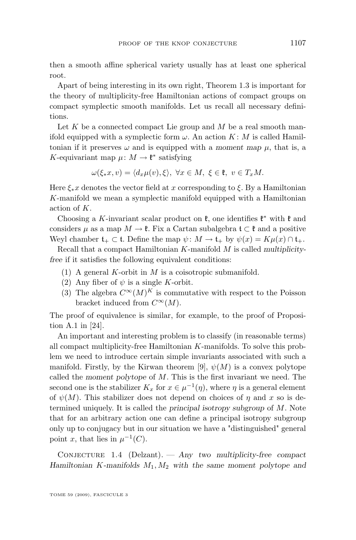then a smooth affine spherical variety usually has at least one spherical root.

Apart of being interesting in its own right, Theorem [1.3](#page-2-0) is important for the theory of multiplicity-free Hamiltonian actions of compact groups on compact symplectic smooth manifolds. Let us recall all necessary definitions.

Let  $K$  be a connected compact Lie group and  $M$  be a real smooth manifold equipped with a symplectic form  $\omega$ . An action  $K: M$  is called Hamiltonian if it preserves  $\omega$  and is equipped with a *moment map*  $\mu$ , that is, a K-equivariant map  $\mu: M \to \mathfrak{k}^*$  satisfying

$$
\omega(\xi_*x,v)=\langle d_x\mu(v),\xi\rangle, \ \forall x\in M, \ \xi\in\mathfrak{k}, \ v\in T_xM.
$$

Here  $\xi_*x$  denotes the vector field at x corresponding to  $\xi$ . By a Hamiltonian K-manifold we mean a symplectic manifold equipped with a Hamiltonian action of  $K$ .

Choosing a K-invariant scalar product on  $\mathfrak{k}$ , one identifies  $\mathfrak{k}^*$  with  $\mathfrak{k}$  and considers  $\mu$  as a map  $M \to \mathfrak{k}$ . Fix a Cartan subalgebra  $\mathfrak{t} \subset \mathfrak{k}$  and a positive Weyl chamber  $\mathfrak{t}_+ \subset \mathfrak{t}$ . Define the map  $\psi \colon M \to \mathfrak{t}_+$  by  $\psi(x) = K \mu(x) \cap \mathfrak{t}_+$ .

Recall that a compact Hamiltonian K-manifold M is called *multiplicityfree* if it satisfies the following equivalent conditions:

- (1) A general K-orbit in  $M$  is a coisotropic submanifold.
- (2) Any fiber of  $\psi$  is a single K-orbit.
- (3) The algebra  $C^{\infty}(M)^K$  is commutative with respect to the Poisson bracket induced from  $C^{\infty}(M)$ .

The proof of equivalence is similar, for example, to the proof of Proposition A.1 in [\[24\]](#page-30-0).

An important and interesting problem is to classify (in reasonable terms) all compact multiplicity-free Hamiltonian K-manifolds. To solve this problem we need to introduce certain simple invariants associated with such a manifold. Firstly, by the Kirwan theorem [\[9\]](#page-29-0),  $\psi(M)$  is a convex polytope called the *moment polytope* of M. This is the first invariant we need. The second one is the stabilizer  $K_x$  for  $x \in \mu^{-1}(\eta)$ , where  $\eta$  is a general element of  $\psi(M)$ . This stabilizer does not depend on choices of  $\eta$  and x so is determined uniquely. It is called the *principal isotropy subgroup* of M. Note that for an arbitrary action one can define a principal isotropy subgroup only up to conjugacy but in our situation we have a "distinguished" general point x, that lies in  $\mu^{-1}(C)$ .

Conjecture 1.4 (Delzant). — *Any two multiplicity-free compact Hamiltonian* K*-manifolds* M1, M<sup>2</sup> *with the same moment polytope and*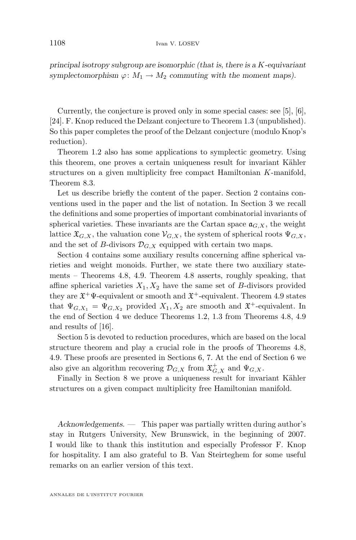*principal isotropy subgroup are isomorphic (that is, there is a* K*-equivariant symplectomorphism*  $\varphi: M_1 \to M_2$  *commuting with the moment maps).* 

Currently, the conjecture is proved only in some special cases: see [\[5\]](#page-29-0), [\[6\]](#page-29-0), [\[24\]](#page-30-0). F. Knop reduced the Delzant conjecture to Theorem [1.3](#page-2-0) (unpublished). So this paper completes the proof of the Delzant conjecture (modulo Knop's reduction).

Theorem [1.2](#page-2-0) also has some applications to symplectic geometry. Using this theorem, one proves a certain uniqueness result for invariant Kähler structures on a given multiplicity free compact Hamiltonian K-manifold, Theorem [8.3.](#page-24-0)

Let us describe briefly the content of the paper. Section 2 contains conventions used in the paper and the list of notation. In Section [3](#page-6-0) we recall the definitions and some properties of important combinatorial invariants of spherical varieties. These invariants are the Cartan space  $a_{G,X}$ , the weight lattice  $\mathfrak{X}_{G,X}$ , the valuation cone  $\mathcal{V}_{G,X}$ , the system of spherical roots  $\Psi_{G,X}$ , and the set of B-divisors  $\mathcal{D}_{G,X}$  equipped with certain two maps.

Section [4](#page-8-0) contains some auxiliary results concerning affine spherical varieties and weight monoids. Further, we state there two auxiliary statements – Theorems [4.8,](#page-10-0) [4.9.](#page-10-0) Theorem [4.8](#page-10-0) asserts, roughly speaking, that affine spherical varieties  $X_1, X_2$  have the same set of B-divisors provided they are  $\mathfrak{X}^+\Psi$ -equivalent or smooth and  $\mathfrak{X}^+$ -equivalent. Theorem [4.9](#page-10-0) states that  $\Psi_{G,X_1} = \Psi_{G,X_2}$  provided  $X_1, X_2$  are smooth and  $\mathfrak{X}^+$ -equivalent. In the end of Section [4](#page-8-0) we deduce Theorems [1.2,](#page-2-0) [1.3](#page-2-0) from Theorems [4.8,](#page-10-0) [4.9](#page-10-0) and results of [\[16\]](#page-29-0).

Section [5](#page-10-0) is devoted to reduction procedures, which are based on the local structure theorem and play a crucial role in the proofs of Theorems [4.8,](#page-10-0) [4.9.](#page-10-0) These proofs are presented in Sections [6,](#page-12-0) [7.](#page-21-0) At the end of Section [6](#page-12-0) we also give an algorithm recovering  $\mathcal{D}_{G,X}$  from  $\mathfrak{X}^+_{G,X}$  and  $\Psi_{G,X}$ .

Finally in Section [8](#page-24-0) we prove a uniqueness result for invariant Kähler structures on a given compact multiplicity free Hamiltonian manifold.

*Acknowledgements. —* This paper was partially written during author's stay in Rutgers University, New Brunswick, in the beginning of 2007. I would like to thank this institution and especially Professor F. Knop for hospitality. I am also grateful to B. Van Steirteghem for some useful remarks on an earlier version of this text.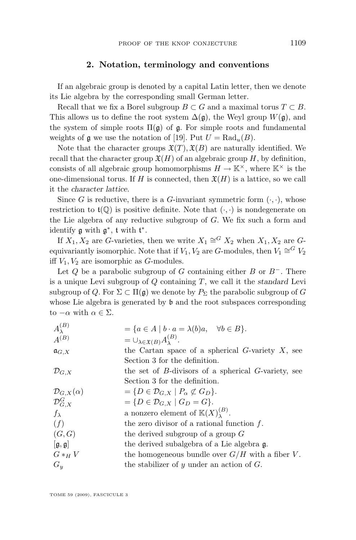#### **2. Notation, terminology and conventions**

If an algebraic group is denoted by a capital Latin letter, then we denote its Lie algebra by the corresponding small German letter.

Recall that we fix a Borel subgroup  $B \subset G$  and a maximal torus  $T \subset B$ . This allows us to define the root system  $\Delta(\mathfrak{g})$ , the Weyl group  $W(\mathfrak{g})$ , and the system of simple roots  $\Pi(\mathfrak{g})$  of  $\mathfrak{g}$ . For simple roots and fundamental weights of  $\mathfrak g$  we use the notation of [\[19\]](#page-29-0). Put  $U = \text{Rad}_{u}(B)$ .

Note that the character groups  $\mathfrak{X}(T)$ ,  $\mathfrak{X}(B)$  are naturally identified. We recall that the character group  $\mathfrak{X}(H)$  of an algebraic group H, by definition, consists of all algebraic group homomorphisms  $H \to \mathbb{K}^{\times}$ , where  $\mathbb{K}^{\times}$  is the one-dimensional torus. If H is connected, then  $\mathfrak{X}(H)$  is a lattice, so we call it the *character lattice*.

Since G is reductive, there is a G-invariant symmetric form  $(\cdot, \cdot)$ , whose restriction to  $\mathfrak{t}(\mathbb{Q})$  is positive definite. Note that  $(\cdot, \cdot)$  is nondegenerate on the Lie algebra of any reductive subgroup of  $G$ . We fix such a form and identify  $\mathfrak g$  with  $\mathfrak g^*$ ,  $\mathfrak t$  with  $\mathfrak t^*$ .

If  $X_1, X_2$  are G-varieties, then we write  $X_1 \cong^G X_2$  when  $X_1, X_2$  are Gequivariantly isomorphic. Note that if  $V_1, V_2$  are G-modules, then  $V_1 \cong^G V_2$ iff  $V_1, V_2$  are isomorphic as G-modules.

Let Q be a parabolic subgroup of G containing either B or  $B^-$ . There is a unique Levi subgroup of Q containing T, we call it the *standard* Levi subgroup of Q. For  $\Sigma \subset \Pi(\mathfrak{g})$  we denote by  $P_{\Sigma}$  the parabolic subgroup of G whose Lie algebra is generated by  $\mathfrak b$  and the root subspaces corresponding to  $-\alpha$  with  $\alpha \in \Sigma$ .

| $A_{\lambda}^{(B)}$           | $= \{a \in A \mid b \cdot a = \lambda(b)a, \quad \forall b \in B\}.$ |
|-------------------------------|----------------------------------------------------------------------|
| $A^{(B)}$                     | $=\cup_{\lambda\in \mathfrak{X}(B)}A_{\lambda}^{(B)}.$               |
| $\mathfrak{a}_{G,X}$          | the Cartan space of a spherical G-variety $X$ , see                  |
|                               | Section 3 for the definition.                                        |
| $\mathcal{D}_{G,X}$           | the set of $B$ -divisors of a spherical $G$ -variety, see            |
|                               | Section 3 for the definition.                                        |
| $\mathcal{D}_{G,X}(\alpha)$   | $= \{D \in \mathcal{D}_{G,X} \mid P_{\alpha} \not\subset G_D\}.$     |
| $\mathcal{D}_{G, X}^G$        | $= \{D \in \mathcal{D}_{G,X} \mid G_D = G\}.$                        |
| $f_{\lambda}$                 | a nonzero element of $\mathbb{K}(X)_{\lambda}^{(B)}$ .               |
| (f)                           | the zero divisor of a rational function $f$ .                        |
| (G, G)                        | the derived subgroup of a group $G$                                  |
| $[\mathfrak{g},\mathfrak{g}]$ | the derived subalgebra of a Lie algebra g.                           |
| $G *_{H} V$                   | the homogeneous bundle over $G/H$ with a fiber V.                    |
| $G_u$                         | the stabilizer of $y$ under an action of $G$ .                       |
|                               |                                                                      |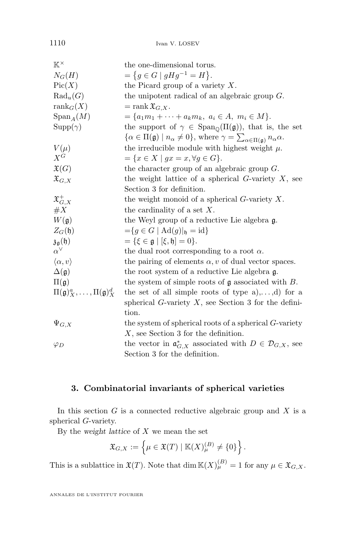<span id="page-6-0"></span>1110 Ivan V. LOSEV

| $K^{\times}$                                           | the one-dimensional torus.                                                                                                          |
|--------------------------------------------------------|-------------------------------------------------------------------------------------------------------------------------------------|
| $N_G(H)$                                               | $=\{g\in G\mid gHg^{-1}=H\}.$                                                                                                       |
| Pic(X)                                                 | the Picard group of a variety $X$ .                                                                                                 |
| $\text{Rad}_{u}(G)$                                    | the unipotent radical of an algebraic group $G$ .                                                                                   |
| $\text{rank}_G(X)$                                     | $=$ rank $\mathfrak{X}_{G,X}.$                                                                                                      |
| $Span_A(M)$                                            | = $\{a_1m_1 + \cdots + a_km_k, a_i \in A, m_i \in M\}.$                                                                             |
| $\text{Supp}(\gamma)$                                  | the support of $\gamma \in \text{Span}_{\mathbb{Q}}(\Pi(\mathfrak{g}))$ , that is, the set                                          |
|                                                        | $\{\alpha \in \Pi(\mathfrak{g}) \mid n_{\alpha} \neq 0\},\$ where $\gamma = \sum_{\alpha \in \Pi(\mathfrak{g})} n_{\alpha} \alpha.$ |
| $V(\mu)$                                               | the irreducible module with highest weight $\mu$ .                                                                                  |
| $X^G$                                                  | $=\{x\in X\mid gx=x, \forall g\in G\}.$                                                                                             |
| $\mathfrak{X}(G)$                                      | the character group of an algebraic group $G$ .                                                                                     |
| $\mathfrak{X}_{G,X}$                                   | the weight lattice of a spherical $G$ -variety $X$ , see                                                                            |
|                                                        | Section 3 for definition.                                                                                                           |
| $\mathfrak{X}^+_{G,X}$                                 | the weight monoid of a spherical $G$ -variety $X$ .                                                                                 |
| $\#X$                                                  | the cardinality of a set $X$ .                                                                                                      |
| $W(\mathfrak{g})$                                      | the Weyl group of a reductive Lie algebra g.                                                                                        |
| $Z_G(\mathfrak{h})$                                    | $=\{g \in G \mid \text{Ad}(g) _{\mathfrak{h}} = \text{id}\}\$                                                                       |
| $\mathfrak{z}_{\mathfrak{g}}(\mathfrak{h})$            | $= \{ \xi \in \mathfrak{g} \mid [\xi, \mathfrak{h}] = 0 \}.$                                                                        |
| $\alpha^{\vee}$                                        | the dual root corresponding to a root $\alpha$ .                                                                                    |
| $\langle \alpha, v \rangle$                            | the pairing of elements $\alpha$ , v of dual vector spaces.                                                                         |
| $\Delta(\mathfrak{g})$                                 | the root system of a reductive Lie algebra g.                                                                                       |
| $\Pi(\mathfrak{g})$                                    | the system of simple roots of $\mathfrak g$ associated with $B$ .                                                                   |
| $\Pi(\mathfrak{g})_X^a, \ldots, \Pi(\mathfrak{g})_X^d$ | the set of all simple roots of type $a)$ ,,d) for a                                                                                 |
|                                                        | spherical G-variety $X$ , see Section 3 for the defini-                                                                             |
|                                                        | tion.                                                                                                                               |
| $\Psi_{G,X}$                                           | the system of spherical roots of a spherical $G$ -variety                                                                           |
|                                                        | $X$ , see Section 3 for the definition.                                                                                             |
| $\varphi_D$                                            | the vector in $\mathfrak{a}_{G,X}^*$ associated with $D \in \mathcal{D}_{G,X}$ , see                                                |
|                                                        | Section 3 for the definition.                                                                                                       |

#### **3. Combinatorial invariants of spherical varieties**

In this section  $G$  is a connected reductive algebraic group and  $X$  is a spherical G-variety.

By the *weight lattice* of X we mean the set

$$
\mathfrak{X}_{G,X} := \left\{ \mu \in \mathfrak{X}(T) \mid \mathbb{K}(X)_{\mu}^{(B)} \neq \{0\} \right\}.
$$

This is a sublattice in  $\mathfrak{X}(T)$ . Note that  $\dim \mathbb{K}(X)_{\mu}^{(B)} = 1$  for any  $\mu \in \mathfrak{X}_{G,X}$ .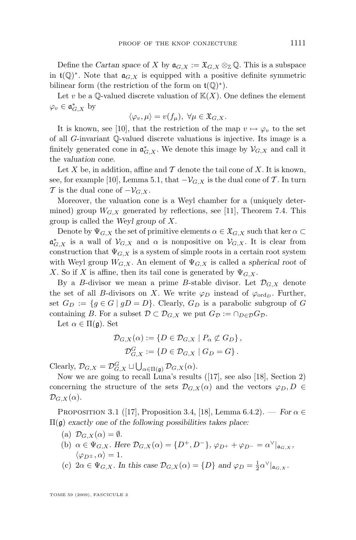<span id="page-7-0"></span>Define the *Cartan space* of X by  $\mathfrak{a}_{G,X} := \mathfrak{X}_{G,X} \otimes_{\mathbb{Z}} \mathbb{Q}$ . This is a subspace in  $\mathfrak{t}(\mathbb{Q})^*$ . Note that  $\mathfrak{a}_{G,X}$  is equipped with a positive definite symmetric bilinear form (the restriction of the form on  $\mathfrak{t}(\mathbb{Q})^*$ ).

Let v be a  $\mathbb{Q}$ -valued discrete valuation of  $\mathbb{K}(X)$ . One defines the element  $\varphi_v \in \mathfrak{a}_{G,X}^*$  by

$$
\langle \varphi_v, \mu \rangle = v(f_\mu), \ \forall \mu \in \mathfrak{X}_{G,X}.
$$

It is known, see [\[10\]](#page-29-0), that the restriction of the map  $v \mapsto \varphi_v$  to the set of all G-invariant Q-valued discrete valuations is injective. Its image is a finitely generated cone in  $\mathfrak{a}^*_{G,X}$ . We denote this image by  $\mathcal{V}_{G,X}$  and call it the *valuation cone*.

Let X be, in addition, affine and  $\mathcal T$  denote the tail cone of X. It is known, see, for example [\[10\]](#page-29-0), Lemma 5.1, that  $-V_{G,X}$  is the dual cone of T. In turn T is the dual cone of  $-\mathcal{V}_{G,X}$ .

Moreover, the valuation cone is a Weyl chamber for a (uniquely determined) group  $W_{G,X}$  generated by reflections, see [\[11\]](#page-29-0), Theorem 7.4. This group is called the *Weyl group* of X.

Denote by  $\Psi_{G,X}$  the set of primitive elements  $\alpha \in \mathfrak{X}_{G,X}$  such that ker  $\alpha \subset$  $\mathfrak{a}_{G,X}^*$  is a wall of  $\mathcal{V}_{G,X}$  and  $\alpha$  is nonpositive on  $\mathcal{V}_{G,X}$ . It is clear from construction that  $\Psi_{G,X}$  is a system of simple roots in a certain root system with Weyl group  $W_{G,X}$ . An element of  $\Psi_{G,X}$  is called a *spherical root* of X. So if X is affine, then its tail cone is generated by  $\Psi_{G,X}$ .

By a B-divisor we mean a prime B-stable divisor. Let  $\mathcal{D}_{G,X}$  denote the set of all B-divisors on X. We write  $\varphi_D$  instead of  $\varphi_{\text{ord}_D}$ . Further, set  $G_D := \{g \in G \mid gD = D\}$ . Clearly,  $G_D$  is a parabolic subgroup of G containing B. For a subset  $\mathcal{D} \subset \mathcal{D}_{G,X}$  we put  $G_{\mathcal{D}} := \cap_{D \in \mathcal{D}} G_{\mathcal{D}}$ .

Let  $\alpha \in \Pi(\mathfrak{g})$ . Set

$$
\mathcal{D}_{G,X}(\alpha) := \{ D \in \mathcal{D}_{G,X} \mid P_{\alpha} \not\subset G_D \},
$$
  

$$
\mathcal{D}_{G,X}^G := \{ D \in \mathcal{D}_{G,X} \mid G_D = G \}.
$$

Clearly,  $\mathcal{D}_{G,X} = \mathcal{D}_{G,X}^G \sqcup \bigcup_{\alpha \in \Pi(\mathfrak{g})} \mathcal{D}_{G,X}(\alpha)$ .

Now we are going to recall Luna's results ([\[17\]](#page-29-0), see also [\[18\]](#page-29-0), Section 2) concerning the structure of the sets  $\mathcal{D}_{G,X}(\alpha)$  and the vectors  $\varphi_D, D \in$  $\mathcal{D}_{G,X}(\alpha).$ 

**PROPOSITION 3.1** ([\[17\]](#page-29-0), Proposition 3.4, [\[18\]](#page-29-0), Lemma 6.4.2). — *For*  $\alpha \in$ Π(g) *exactly one of the following possibilities takes place:*

- (a)  $\mathcal{D}_{G,X}(\alpha) = \emptyset$ .
- (b)  $\alpha \in \Psi_{G,X}$ *. Here*  $\mathcal{D}_{G,X}(\alpha) = \{D^+, D^-\}$ ,  $\varphi_{D^+} + \varphi_{D^-} = \alpha^{\vee}|_{\mathfrak{a}_{G,X}}$ ,  $\langle \varphi_{D^{\pm}}, \alpha \rangle = 1.$
- (c)  $2\alpha \in \Psi_{G,X}$ *. In this case*  $\mathcal{D}_{G,X}(\alpha) = \{D\}$  and  $\varphi_D = \frac{1}{2}\alpha^{\vee}|_{\mathfrak{a}_{G,X}}$ *.*

TOME 59 (2009), FASCICULE 3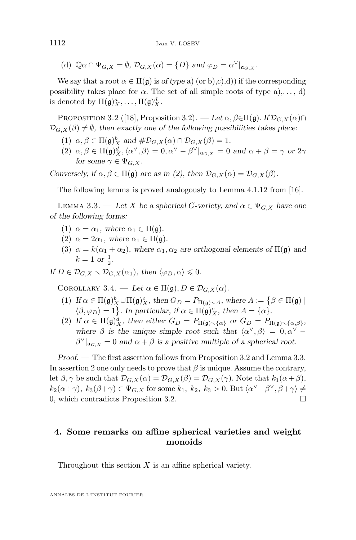<span id="page-8-0"></span>(d)  $\mathbb{Q}\alpha \cap \Psi_{G,X} = \emptyset$ ,  $\mathcal{D}_{G,X}(\alpha) = \{D\}$  and  $\varphi_D = \alpha^{\vee}|_{\mathfrak{a}_{G,X}}$ .

We say that a root  $\alpha \in \Pi(\mathfrak{g})$  is *of type* a) (or b),c),d)) if the corresponding possibility takes place for  $\alpha$ . The set of all simple roots of type a),..., d) is denoted by  $\Pi(\mathfrak{g})_X^a, \ldots, \Pi(\mathfrak{g})_X^d$ .

PROPOSITION 3.2 ([\[18\]](#page-29-0), Proposition 3.2). — Let  $\alpha$ ,  $\beta \in \Pi(\mathfrak{g})$ . If  $\mathcal{D}_{G,X}(\alpha) \cap$  $\mathcal{D}_{G,X}(\beta) \neq \emptyset$ , then exactly one of the following possibilities takes place:

- (1)  $\alpha, \beta \in \Pi(\mathfrak{g})_X^b$  and  $\# \mathcal{D}_{G,X}(\alpha) \cap \mathcal{D}_{G,X}(\beta) = 1$ .
- $(2)$   $\alpha, \beta \in \Pi(\mathfrak{g})_X^d, \langle \alpha^\vee, \beta \rangle = 0, \alpha^\vee \beta^\vee \vert_{\mathfrak{a}_{G,X}} = 0$  and  $\alpha + \beta = \gamma$  or  $2\gamma$ *for some*  $\gamma \in \Psi_G$  *x*.

*Conversely, if*  $\alpha, \beta \in \Pi(\mathfrak{g})$  *are as in (2), then*  $\mathcal{D}_{G,X}(\alpha) = \mathcal{D}_{G,X}(\beta)$ *.* 

The following lemma is proved analogously to Lemma 4.1.12 from [\[16\]](#page-29-0).

LEMMA 3.3. — Let X be a spherical G-variety, and  $\alpha \in \Psi_{G,X}$  have one *of the following forms:*

- (1)  $\alpha = \alpha_1$ , where  $\alpha_1 \in \Pi(\mathfrak{g})$ .
- (2)  $\alpha = 2\alpha_1$ , where  $\alpha_1 \in \Pi(\mathfrak{g})$ .
- (3)  $\alpha = k(\alpha_1 + \alpha_2)$ , where  $\alpha_1, \alpha_2$  are orthogonal elements of  $\Pi(\mathfrak{g})$  and  $k = 1 \text{ or } \frac{1}{2}.$

*If*  $D \in \mathcal{D}_{G,X} \setminus \mathcal{D}_{G,X}(\alpha_1)$ , then  $\langle \varphi_D, \alpha \rangle \leq 0$ .

COROLLARY 3.4. — Let  $\alpha \in \Pi(\mathfrak{g}), D \in \mathcal{D}_{G,X}(\alpha)$ .

- (1) *If*  $\alpha \in \Pi(\mathfrak{g})_X^b \cup \Pi(\mathfrak{g})_X^c$ , then  $G_D = P_{\Pi(\mathfrak{g}) \setminus A}$ , where  $A := \{ \beta \in \Pi(\mathfrak{g}) \mid$  $\langle \beta, \varphi_D \rangle = 1$ . In particular, if  $\alpha \in \Pi(\mathfrak{g})^c_X$ , then  $A = {\alpha}.$
- (2) If  $\alpha \in \Pi(\mathfrak{g})_X^d$ , then either  $G_D = P_{\Pi(\mathfrak{g}) \setminus {\alpha}}$  or  $G_D = P_{\Pi(\mathfrak{g}) \setminus {\{\alpha,\beta\}}},$ where  $\beta$  is the unique simple root such that  $\langle \alpha^{\vee}, \beta \rangle = 0, \alpha^{\vee} - \beta$  $\beta^{\vee}|_{\mathfrak{a}_{G,X}} = 0$  and  $\alpha + \beta$  is a positive multiple of a spherical root.

*Proof. —* The first assertion follows from Proposition 3.2 and Lemma 3.3. In assertion 2 one only needs to prove that  $\beta$  is unique. Assume the contrary, let  $\beta$ ,  $\gamma$  be such that  $\mathcal{D}_{G,X}(\alpha) = \mathcal{D}_{G,X}(\beta) = \mathcal{D}_{G,X}(\gamma)$ . Note that  $k_1(\alpha+\beta)$ ,  $k_2(\alpha+\gamma)$ ,  $k_3(\beta+\gamma) \in \Psi_{G,X}$  for some  $k_1, k_2, k_3 > 0$ . But  $\langle \alpha^{\vee} - \beta^{\vee}, \beta + \gamma \rangle \neq$ 0, which contradicts Proposition 3.2.

#### **4. Some remarks on affine spherical varieties and weight monoids**

Throughout this section  $X$  is an affine spherical variety.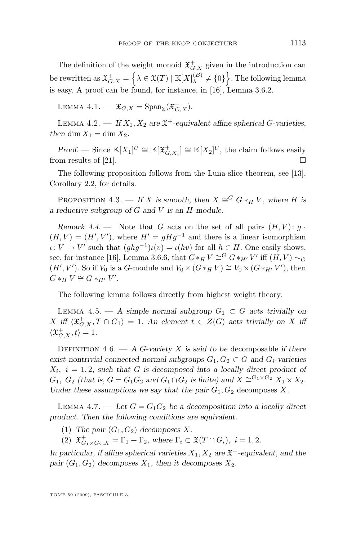<span id="page-9-0"></span>The definition of the weight monoid  $\mathfrak{X}^+_{G, X}$  given in the introduction can be rewritten as  $\mathfrak{X}^+_{G, X} = \left\{ \lambda \in \mathfrak{X}(T) \mid \mathbb{K}[X]^{(B)}_\lambda \right\}$  $\mathbf{Q}_{\lambda}^{(B)} \neq \{0\}$ . The following lemma is easy. A proof can be found, for instance, in [\[16\]](#page-29-0), Lemma 3.6.2.

LEMMA 4.1.  $\mathfrak{X}_{G,X} = \text{Span}_{\mathbb{Z}}(\mathfrak{X}^+_{G,X}).$ 

LEMMA 4.2.  $\qquad$  *If*  $X_1, X_2$  are  $\mathfrak{X}^+$ -equivalent affine spherical G-varieties, *then* dim  $X_1 = \dim X_2$ .

*Proof.* — Since  $\mathbb{K}[X_1]^U \cong \mathbb{K}[\mathfrak{X}^+_{G,X_i}] \cong \mathbb{K}[X_2]^U$ , the claim follows easily from results of [\[21\]](#page-29-0).

The following proposition follows from the Luna slice theorem, see [\[13\]](#page-29-0), Corollary 2.2, for details.

PROPOSITION 4.3. — *If* X is smooth, then  $X \cong G_{n+1} V$ , where H is *a reductive subgroup of* G *and* V *is an* H*-module.*

*Remark 4.4.* — Note that G acts on the set of all pairs  $(H, V)$ :  $g \cdot$  $(H, V) = (H', V')$ , where  $H' = gHg^{-1}$  and there is a linear isomorphism  $\iota: V \to V'$  such that  $(ghg^{-1})\iota(v) = \iota(hv)$  for all  $h \in H$ . One easily shows, see, for instance [\[16\]](#page-29-0), Lemma 3.6.6, that  $G *_H V \cong G *_{H'} V'$  iff  $(H, V) \sim_G$  $(H', V')$ . So if  $V_0$  is a G-module and  $V_0 \times (G *_H V) \cong V_0 \times (G *_H V')$ , then  $G *_{H} V \cong G *_{H'} V'.$ 

The following lemma follows directly from highest weight theory.

LEMMA 4.5. — A simple normal subgroup  $G_1 \subset G$  acts trivially on  $X$  iff  $\langle \mathfrak{X}^+_{G,X}, T \cap G_1 \rangle = 1$ . An element  $t \in Z(G)$  acts trivially on X iff  $\langle \mathfrak{X}^+_{G,X}, t \rangle = 1.$ 

DEFINITION 4.6.  $- A G$ -variety X is said to be decomposable if there *exist nontrivial connected normal subgroups*  $G_1, G_2 \subset G$  *and*  $G_i$ -varieties  $X_i$ ,  $i = 1, 2$ , such that G is decomposed into a locally direct product of  $G_1$ ,  $G_2$  (that is,  $G = G_1 G_2$  and  $G_1 \cap G_2$  is finite) and  $X \cong^{G_1 \times G_2} X_1 \times X_2$ . *Under these assumptions we say that the pair*  $G_1$ ,  $G_2$  decomposes X.

LEMMA 4.7. — Let  $G = G_1 G_2$  be a decomposition into a locally direct *product. Then the following conditions are equivalent.*

(1) The pair  $(G_1, G_2)$  decomposes X.

(2)  $\mathfrak{X}^+_{G_1 \times G_2, X} = \Gamma_1 + \Gamma_2$ , where  $\Gamma_i \subset \mathfrak{X}(T \cap G_i)$ ,  $i = 1, 2$ .

In particular, if affine spherical varieties  $X_1, X_2$  are  $\mathfrak{X}^+$ -equivalent, and the *pair*  $(G_1, G_2)$  *decomposes*  $X_1$ *, then it decomposes*  $X_2$ *.* 

TOME 59 (2009), FASCICULE 3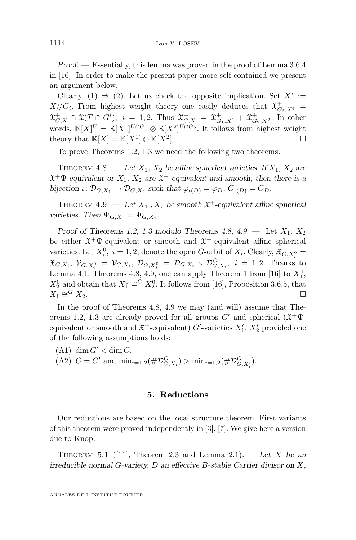<span id="page-10-0"></span>*Proof. —* Essentially, this lemma was proved in the proof of Lemma 3.6.4 in [\[16\]](#page-29-0). In order to make the present paper more self-contained we present an argument below.

Clearly, (1)  $\Rightarrow$  (2). Let us check the opposite implication. Set  $X^i :=$  $X/\!\!/ G_i$ . From highest weight theory one easily deduces that  $\mathfrak{X}^+_{G_i,X^i}$  =  $\mathfrak{X}^+_{G,X} \cap \mathfrak{X}(T \cap G^i), \ \ i \ = \ 1,2. \text{ Thus } \mathfrak{X}^+_{G,X} \ = \ \mathfrak{X}^+_{G_1,X^1} + \mathfrak{X}^+_{G_2,X^2}.$  In other words,  $\mathbb{K}[X]^U = \mathbb{K}[X^1]^{U \cap G_1} \otimes \mathbb{K}[X^2]^{U \cap G_2}$ . It follows from highest weight theory that  $\mathbb{K}[X] = \mathbb{K}[X^1] \otimes \mathbb{K}[X^2]$ ].

To prove Theorems [1.2,](#page-2-0) [1.3](#page-2-0) we need the following two theorems.

THEOREM 4.8. — Let  $X_1, X_2$  be affine spherical varieties. If  $X_1, X_2$  are  $\mathfrak{X}^+\Psi$ -equivalent or  $X_1, X_2$  are  $\mathfrak{X}^+$ -equivalent and smooth, then there is a bijection  $\iota \colon \mathcal{D}_{G,X_1} \to \mathcal{D}_{G,X_2}$  such that  $\varphi_{\iota(D)} = \varphi_D, G_{\iota(D)} = G_D$ .

THEOREM 4.9. — Let  $X_1$ ,  $X_2$  be smooth  $\mathfrak{X}^+$ -equivalent affine spherical *varieties.* Then  $\Psi_{G,X_1} = \Psi_{G,X_2}$ .

*Proof of Theorems* [1.2,](#page-2-0) [1.3](#page-2-0) *modulo Theorems* 4.8, 4.9. — Let  $X_1, X_2$ be either  $\mathfrak{X}^+ \Psi$ -equivalent or smooth and  $\mathfrak{X}^+$ -equivalent affine spherical varieties. Let  $X_i^0$ ,  $i = 1, 2$ , denote the open *G*-orbit of  $X_i$ . Clearly,  $\mathfrak{X}_{G, X_i^0} =$  $\mathfrak{X}_{G,X_i},\ \mathcal{V}_{G,X_i^0} = \mathcal{V}_{G,X_i},\ \mathcal{D}_{G,X_i^0} = \mathcal{D}_{G,X_i} \setminus \mathcal{D}_{G,X_i}^G, \ i = 1,2.$  Thanks to Lemma [4.1,](#page-9-0) Theorems 4.8, 4.9, one can apply Theorem 1 from [\[16\]](#page-29-0) to  $X_1^0$ ,  $X_2^0$  and obtain that  $X_1^0 \cong G X_2^0$ . It follows from [\[16\]](#page-29-0), Proposition 3.6.5, that  $X_1 \cong$  $G X_2$ .

In the proof of Theorems 4.8, 4.9 we may (and will) assume that The-orems [1.2,](#page-2-0) [1.3](#page-2-0) are already proved for all groups  $G'$  and spherical  $(\mathfrak{X}^+\Psi$ equivalent or smooth and  $\mathfrak{X}^+$ -equivalent)  $G'$ -varieties  $X'_1, X'_2$  provided one of the following assumptions holds:

- $(A1)$  dim  $G' <$  dim G.
- (A2)  $G = G'$  and  $\min_{i=1,2} (\# \mathcal{D}_{G,X_i}^G) > \min_{i=1,2} (\# \mathcal{D}_{G,X_i'}^G)$ .

#### **5. Reductions**

Our reductions are based on the local structure theorem. First variants of this theorem were proved independently in [\[3\]](#page-29-0), [\[7\]](#page-29-0). We give here a version due to Knop.

THEOREM 5.1 ([\[11\]](#page-29-0), Theorem 2.3 and Lemma 2.1). — Let X be an *irreducible normal* G*-variety,* D *an effective* B*-stable Cartier divisor on* X*,*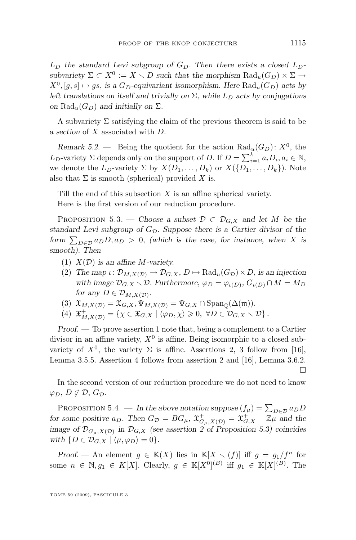<span id="page-11-0"></span> $L_D$  the standard Levi subgroup of  $G_D$ . Then there exists a closed  $L_D$  $subvariety \Sigma \subset X^0 := X \setminus D$  *such that the morphism*  $\text{Rad}_{u}(G_D) \times \Sigma \to D$  $X^0$ ,  $[g, s] \mapsto gs$ , *is a*  $G_D$ -equivariant isomorphism. Here  $\text{Rad}_u(G_D)$  acts by *left translations on itself and trivially on*  $\Sigma$ *, while*  $L_D$  *acts by conjugations on*  $\text{Rad}_{u}(G_{D})$  *and initially on*  $\Sigma$ *.* 

A subvariety  $\Sigma$  satisfying the claim of the previous theorem is said to be a *section* of X associated with D.

*Remark 5.2.* – Being the quotient for the action  $\text{Rad}_{u}(G_{D})$ :  $X^{0}$ , the  $L_D$ -variety  $\Sigma$  depends only on the support of D. If  $D = \sum_{i=1}^{k} a_i D_i, a_i \in \mathbb{N}$ , we denote the  $L_D$ -variety  $\Sigma$  by  $X(D_1, \ldots, D_k)$  or  $X(\{D_1, \ldots, D_k\})$ . Note also that  $\Sigma$  is smooth (spherical) provided X is.

Till the end of this subsection  $X$  is an affine spherical variety. Here is the first version of our reduction procedure.

PROPOSITION 5.3. — *Choose a subset*  $\mathcal{D} \subset \mathcal{D}_{G,X}$  *and let* M *be the standard Levi subgroup of*  $G_{\mathcal{D}}$ *. Suppose there is a Cartier divisor of the form*  $\sum_{D \in \mathcal{D}} a_D D$ ,  $a_D > 0$ , *(which is the case, for instance, when* X *is smooth). Then*

- (1) X(D) *is an affine* M*-variety.*
- (2) The map  $\iota: \mathcal{D}_{M,X(\mathcal{D})} \to \mathcal{D}_{G,X}, D \mapsto \text{Rad}_{u}(G_{\mathcal{D}}) \times D$ , *is an injection* with image  $\mathcal{D}_{G,X} \setminus \mathcal{D}$ . Furthermore,  $\varphi_D = \varphi_{\iota(D)}, G_{\iota(D)} \cap M = M_D$ *for any*  $D \in \mathcal{D}_{M,X(\mathcal{D})}$ *.*
- (3)  $\mathfrak{X}_{M,X(\mathcal{D})} = \mathfrak{X}_{G,X}, \Psi_{M,X(\mathcal{D})} = \Psi_{G,X} \cap \text{Span}_{\mathbb{Q}}(\Delta(\mathfrak{m})).$
- (4)  $\mathfrak{X}^+_{M,X(\mathcal{D})} = \{ \chi \in \mathfrak{X}_{G,X} \mid \langle \varphi_D, \chi \rangle \geqslant 0, \ \forall D \in \mathcal{D}_{G,X} \setminus \mathcal{D} \}.$

*Proof. —* To prove assertion 1 note that, being a complement to a Cartier divisor in an affine variety,  $X^0$  is affine. Being isomorphic to a closed subvariety of  $X^0$ , the variety  $\Sigma$  is affine. Assertions 2, 3 follow from [\[16\]](#page-29-0), Lemma 3.5.5. Assertion 4 follows from assertion 2 and [\[16\]](#page-29-0), Lemma 3.6.2.  $\Box$ 

In the second version of our reduction procedure we do not need to know  $\varphi_D, D \notin \mathcal{D}, G_{\mathcal{D}}.$ 

PROPOSITION 5.4. — In the above notation suppose  $(f_\mu) = \sum_{D \in \mathcal{D}} a_D D$ *for some positive*  $a_D$ . Then  $G_D = BG_\mu$ ,  $\mathfrak{X}^+_{G_\mu,X(D)} = \mathfrak{X}^+_{G,X} + \mathbb{Z}\mu$  and the *image of*  $\mathcal{D}_{G_\mu,X(\mathcal{D})}$  *in*  $\mathcal{D}_{G,X}$  *(see assertion 2 of Proposition 5.3) coincides with*  $\{D \in \mathcal{D}_{G,X} \mid \langle \mu, \varphi_D \rangle = 0\}.$ 

*Proof.* — An element  $g \in K(X)$  lies in  $K[X \setminus (f)]$  iff  $g = g_1/f^n$  for some  $n \in \mathbb{N}, g_1 \in K[X]$ . Clearly,  $g \in \mathbb{K}[X^0]^{(B)}$  iff  $g_1 \in \mathbb{K}[X]^{(B)}$ . The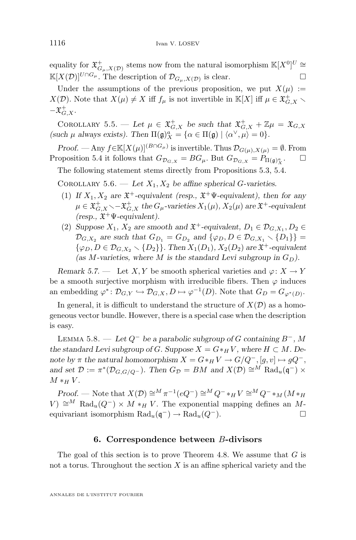<span id="page-12-0"></span>equality for  $\mathfrak{X}^+_{G_\mu,X(\mathcal{D})}$  stems now from the natural isomorphism  $\mathbb{K}[X^0]^U \cong$  $\mathbb{K}[X(\mathcal{D})]^{U\cap G_{\mu}}$ . The description of  $\mathcal{D}_{G_{\mu},X(\mathcal{D})}$  is clear.  $□$ 

Under the assumptions of the previous proposition, we put  $X(\mu) :=$  $X(\mathcal{D})$ . Note that  $X(\mu) \neq X$  iff  $f_{\mu}$  is not invertible in  $\mathbb{K}[X]$  iff  $\mu \in \mathfrak{X}^+_{G,X}$  $-\mathfrak{X}^+_{G, X}.$ 

COROLLARY 5.5. — Let  $\mu \in \mathfrak{X}^+_{G,X}$  be such that  $\mathfrak{X}^+_{G,X} + \mathbb{Z}\mu = \mathfrak{X}_{G,X}$ (such  $\mu$  always exists). Then  $\Pi(\mathfrak{g})_X^a = {\alpha \in \Pi(\mathfrak{g}) \mid \langle \alpha^\vee, \mu \rangle = 0}.$ 

*Proof.* — Any  $f \in K[X(\mu)]^{(B \cap G_{\mu})}$  is invertible. Thus  $\mathcal{D}_{G(\mu),X(\mu)} = \emptyset$ . From Proposition [5.4](#page-11-0) it follows that  $G_{\mathcal{D}_{G,X}} = BG_\mu$ . But  $G_{\mathcal{D}_{G,X}} = P_{\Pi(\mathfrak{g})_{X}^{\alpha}}$ .

The following statement stems directly from Propositions [5.3,](#page-11-0) [5.4.](#page-11-0)

COROLLARY 5.6. — Let  $X_1, X_2$  be affine spherical G-varieties.

- (1) If  $X_1, X_2$  are  $\mathfrak{X}^+$ -equivalent (resp.,  $\mathfrak{X}^+ \Psi$ -equivalent), then for any  $\mu \in \mathfrak{X}^+_{G, X} \diagdown -\mathfrak{X}^+_{G, X}$  the  $G_\mu$ -varieties  $X_1(\mu), X_2(\mu)$  are  $\mathfrak{X}^+$ -equivalent *(resp.,* X <sup>+</sup>Ψ*-equivalent).*
- (2) Suppose  $X_1$ ,  $X_2$  are smooth and  $\mathfrak{X}^+$ -equivalent,  $D_1 \in \mathcal{D}_{G,X_1}, D_2 \in$  $\mathcal{D}_{G,X_2}$  are such that  $G_{D_1} = G_{D_2}$  and  $\{\varphi_D, D \in \mathcal{D}_{G,X_1} \setminus \{D_1\}\}$  =  $\{\varphi_D, D \in \mathcal{D}_{G,X_2} \setminus \{D_2\}\}\$ . Then  $X_1(D_1), X_2(D_2)$  are  $\mathfrak{X}^+$ -equivalent (as M-varieties, where M is the standard Levi subgroup in  $G_D$ ).

*Remark 5.7.* — Let X, Y be smooth spherical varieties and  $\varphi: X \to Y$ be a smooth surjective morphism with irreducible fibers. Then  $\varphi$  induces an embedding  $\varphi^* \colon \mathcal{D}_{G,Y} \hookrightarrow \mathcal{D}_{G,X}, D \mapsto \varphi^{-1}(D)$ . Note that  $G_D = G_{\varphi^*(D)}$ .

In general, it is difficult to understand the structure of  $X(\mathcal{D})$  as a homogeneous vector bundle. However, there is a special case when the description is easy.

Lemma 5.8. — *Let* Q<sup>−</sup> *be a parabolic subgroup of* G *containing* B<sup>−</sup>*,* M *the standard Levi subgroup of G. Suppose*  $X = G *_H V$ *, where*  $H \subset M$ *. Denote by*  $\pi$  *the natural homomorphism*  $X = G *_H V \to G/Q^-$ ,  $[g, v] \mapsto gQ^-$ , and set  $\mathcal{D} := \pi^*(\mathcal{D}_{G,G/Q^-})$ . Then  $G_{\mathcal{D}} = BM$  and  $X(\mathcal{D}) \cong^M \text{Rad}_{u}(\mathfrak{q}^-) \times$  $M *_H V$ .

*Proof.* — Note that  $X(\mathcal{D}) \cong M \pi^{-1}(eQ^-) \cong M Q^- *_{H} V \cong M Q^- *_{M} (M *_{H} V)$  $V$ ) ≅<sup>M</sup> Rad<sub>u</sub>( $Q^-$ ) × M \*<sub>H</sub> V. The exponential mapping defines an Mequivariant isomorphism  $\text{Rad}_{u}(\mathfrak{q}^{-}) \to \text{Rad}_{u}(Q^{-}).$ 

#### **6. Correspondence between** B**-divisors**

The goal of this section is to prove Theorem [4.8.](#page-10-0) We assume that  $G$  is not a torus. Throughout the section  $X$  is an affine spherical variety and the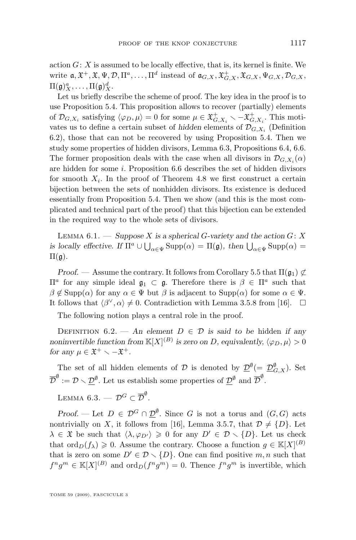<span id="page-13-0"></span>action  $G: X$  is assumed to be locally effective, that is, its kernel is finite. We write  $\mathfrak{a}, \mathfrak{X}^+, \mathfrak{X}, \Psi, \mathcal{D}, \Pi^a, \ldots, \Pi^d$  instead of  $\mathfrak{a}_{G,X}, \mathfrak{X}_{G,X}^+, \mathfrak{X}_{G,X}, \Psi_{G,X}, \mathcal{D}_{G,X},$  $\Pi(\mathfrak{g})_X^a, \ldots, \Pi(\mathfrak{g})_X^d.$ 

Let us briefly describe the scheme of proof. The key idea in the proof is to use Proposition [5.4.](#page-11-0) This proposition allows to recover (partially) elements of  $\mathcal{D}_{G,X_i}$  satisfying  $\langle \varphi_D, \mu \rangle = 0$  for some  $\mu \in \mathfrak{X}^+_{G,X_i} \setminus -\mathfrak{X}^+_{G,X_i}$ . This motivates us to define a certain subset of *hidden* elements of  $\mathcal{D}_{G,X_i}$  (Definition 6.2), those that can not be recovered by using Proposition [5.4.](#page-11-0) Then we study some properties of hidden divisors, Lemma 6.3, Propositions [6.4,](#page-14-0) [6.6.](#page-14-0) The former proposition deals with the case when all divisors in  $\mathcal{D}_{G,X_i}(\alpha)$ are hidden for some  $i$ . Proposition [6.6](#page-14-0) describes the set of hidden divisors for smooth  $X_i$ . In the proof of Theorem [4.8](#page-10-0) we first construct a certain bijection between the sets of nonhidden divisors. Its existence is deduced essentially from Proposition [5.4.](#page-11-0) Then we show (and this is the most complicated and technical part of the proof) that this bijection can be extended in the required way to the whole sets of divisors.

Lemma 6.1. — *Suppose* X *is a spherical* G*-variety and the action* G: X *is locally effective. If*  $\Pi^a \cup \bigcup_{\alpha \in \Psi} \text{Supp}(\alpha) = \Pi(\mathfrak{g})$ , then  $\bigcup_{\alpha \in \Psi} \text{Supp}(\alpha) =$  $\Pi(\mathfrak{g})$ .

*Proof.* — Assume the contrary. It follows from Corollary [5.5](#page-12-0) that  $\Pi(\mathfrak{g}_1) \not\subset$  $\Pi^a$  for any simple ideal  $\mathfrak{g}_1$  ⊂  $\mathfrak{g}$ . Therefore there is  $β ∈ Π^a$  such that  $\beta \notin \text{Supp}(\alpha)$  for any  $\alpha \in \Psi$  but  $\beta$  is adjacent to  $\text{Supp}(\alpha)$  for some  $\alpha \in \Psi$ . It follows that  $\langle \beta^{\vee}, \alpha \rangle \neq 0$ . Contradiction with Lemma 3.5.8 from [\[16\]](#page-29-0).  $\Box$ 

The following notion plays a central role in the proof.

DEFINITION  $6.2.$  — An element  $D \in \mathcal{D}$  is said to be hidden *if any noninvertible function from*  $\mathbb{K}[X]^{(B)}$  *is zero on D*, equivalently,  $\langle \varphi_D, \mu \rangle > 0$ *for any*  $\mu \in \mathfrak{X}^+ \setminus -\mathfrak{X}^+$ *.* 

The set of all hidden elements of  $\mathcal D$  is denoted by  $\underline{\mathcal D}^{\emptyset} (= \underline{\mathcal D}^{\emptyset}_{G,X})$ . Set  $\overline{\mathcal{D}}^{\emptyset} := \mathcal{D} \setminus \underline{\mathcal{D}}^{\emptyset}$ . Let us establish some properties of  $\underline{\mathcal{D}}^{\emptyset}$  and  $\overline{\mathcal{D}}^{\emptyset}$ .

Lemma 6.3. —  $\mathcal{D}^G \subset \overline{\mathcal{D}}^{\emptyset}.$ 

*Proof.* — Let  $D \in \mathcal{D}^G \cap \mathcal{D}^{\emptyset}$ . Since G is not a torus and  $(G, G)$  acts nontrivially on X, it follows from [\[16\]](#page-29-0), Lemma 3.5.7, that  $\mathcal{D} \neq \{D\}$ . Let  $\lambda \in \mathfrak{X}$  be such that  $\langle \lambda, \varphi_{D'} \rangle \geq 0$  for any  $D' \in \mathcal{D} \setminus \{D\}$ . Let us check that  $\text{ord}_D(f_\lambda) \geqslant 0$ . Assume the contrary. Choose a function  $g \in \mathbb{K}[X]^{(B)}$ that is zero on some  $D' \in \mathcal{D} \setminus \{D\}$ . One can find positive m, n such that  $f^n g^m \in \mathbb{K}[X]^{(B)}$  and  $\text{ord}_D(f^n g^m) = 0$ . Thence  $f^n g^m$  is invertible, which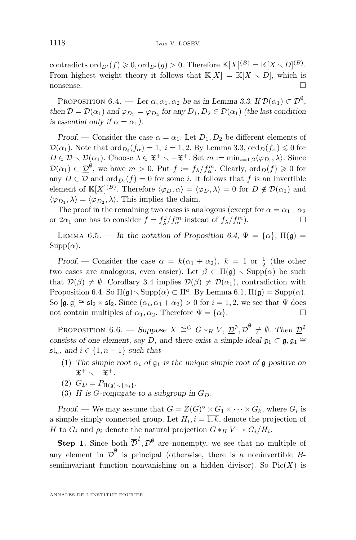<span id="page-14-0"></span>contradicts  $\mathrm{ord}_{D'}(f) \geqslant 0, \mathrm{ord}_{D'}(g) > 0$ . Therefore  $\mathbb{K}[X]^{(B)} = \mathbb{K}[X \setminus D]^{(B)}$ . From highest weight theory it follows that  $\mathbb{K}[X] = \mathbb{K}[X \setminus D]$ , which is nonsense.

PROPOSITION 6.4. — Let  $\alpha, \alpha_1, \alpha_2$  be as in Lemma [3.3.](#page-8-0) If  $\mathcal{D}(\alpha_1) \subset \mathcal{D}^{\emptyset}$ , *then*  $\mathcal{D} = \mathcal{D}(\alpha_1)$  *and*  $\varphi_{D_1} = \varphi_{D_2}$  *for any*  $D_1, D_2 \in \mathcal{D}(\alpha_1)$  *(the last condition*) *is essential only if*  $\alpha = \alpha_1$ *).* 

*Proof.* — Consider the case  $\alpha = \alpha_1$ . Let  $D_1, D_2$  be different elements of  $\mathcal{D}(\alpha_1)$ . Note that  $\text{ord}_{D_i}(f_\alpha) = 1, i = 1, 2$ . By Lemma [3.3,](#page-8-0)  $\text{ord}_D(f_\alpha) \leq 0$  for  $D \in \mathcal{D} \setminus \mathcal{D}(\alpha_1)$ . Choose  $\lambda \in \mathfrak{X}^+ \setminus -\mathfrak{X}^+$ . Set  $m := \min_{i=1,2} \langle \varphi_{D_i}, \lambda \rangle$ . Since  $\mathcal{D}(\alpha_1) \subset \underline{\mathcal{D}}^{\emptyset}$ , we have  $m > 0$ . Put  $f := f_{\lambda}/f_{\alpha}^m$ . Clearly,  $\text{ord}_D(f) \geqslant 0$  for any  $D \in \mathcal{D}$  and  $\text{ord}_{D_i}(f) = 0$  for some *i*. It follows that *f* is an invertible element of  $\mathbb{K}[X]^{(B)}$ . Therefore  $\langle \varphi_D, \alpha \rangle = \langle \varphi_D, \lambda \rangle = 0$  for  $D \notin \mathcal{D}(\alpha_1)$  and  $\langle \varphi_{D_1}, \lambda \rangle = \langle \varphi_{D_2}, \lambda \rangle$ . This implies the claim.

The proof in the remaining two cases is analogous (except for  $\alpha = \alpha_1 + \alpha_2$ ) or  $2\alpha_1$  one has to consider  $f = f_{\lambda}^2/f_{\alpha}^m$  instead of  $f_{\lambda}/f_{\alpha}^m$ .

LEMMA 6.5. — In the notation of Proposition 6.4,  $\Psi = {\alpha}$ ,  $\Pi(\mathfrak{g}) =$  $\text{Supp}(\alpha)$ *.* 

*Proof.* – Consider the case  $\alpha = k(\alpha_1 + \alpha_2)$ ,  $k = 1$  or  $\frac{1}{2}$  (the other two cases are analogous, even easier). Let  $\beta \in \Pi(\mathfrak{g}) \setminus \text{Supp}(\alpha)$  be such that  $\mathcal{D}(\beta) \neq \emptyset$ . Corollary [3.4](#page-8-0) implies  $\mathcal{D}(\beta) \neq \mathcal{D}(\alpha_1)$ , contradiction with Proposition 6.4. So  $\Pi(\mathfrak{g}) \setminus \text{Supp}(\alpha) \subset \Pi^a$ . By Lemma [6.1,](#page-13-0)  $\Pi(\mathfrak{g}) = \text{Supp}(\alpha)$ . So  $[\mathfrak{g}, \mathfrak{g}] \cong \mathfrak{sl}_2 \times \mathfrak{sl}_2$ . Since  $(\alpha_i, \alpha_1 + \alpha_2) > 0$  for  $i = 1, 2$ , we see that  $\Psi$  does not contain multiples of  $\alpha_1, \alpha_2$ . Therefore  $\Psi = {\alpha}$ .

PROPOSITION 6.6. — *Suppose*  $X \cong G$   $G *_{H} V$ ,  $\mathcal{D}^{\emptyset}, \overline{\mathcal{D}}^{\emptyset} \neq \emptyset$ . Then  $\mathcal{D}^{\emptyset}$ *consists of one element, say D, and there exist a simple ideal*  $\mathfrak{g}_1 \subset \mathfrak{g}, \mathfrak{g}_1 \cong$  $\mathfrak{sl}_n$ , and  $i \in \{1, n-1\}$  *such that* 

- (1) The simple root  $\alpha_i$  of  $\mathfrak{g}_1$  is the unique simple root of  $\mathfrak{g}$  positive on  $\mathfrak{X}^+ \smallsetminus -\mathfrak{X}^+.$
- (2)  $G_D = P_{\Pi(\mathfrak{g}) \smallsetminus {\{\alpha_i\}}}$ .
- (3) *H* is *G*-conjugate to a subgroup in  $G_D$ .

*Proof.* — We may assume that  $G = Z(G)^{\circ} \times G_1 \times \cdots \times G_k$ , where  $G_i$  is a simple simply connected group. Let  $H_i$ ,  $i = 1, k$ , denote the projection of H to  $G_i$  and  $\rho_i$  denote the natural projection  $G *_{H} V \rightarrow G_i/H_i$ .

**Step 1.** Since both  $\overline{\mathcal{D}}^{\emptyset}, \underline{\mathcal{D}}^{\emptyset}$  are nonempty, we see that no multiple of any element in  $\overline{\mathcal{D}}^{\emptyset}$  is principal (otherwise, there is a noninvertible Bsemiinvariant function nonvanishing on a hidden divisor). So  $Pic(X)$  is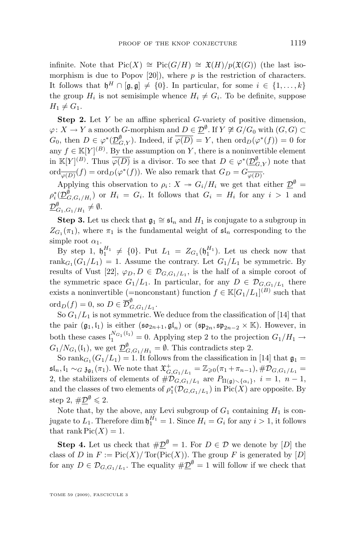infinite. Note that  $Pic(X) \cong Pic(G/H) \cong \mathfrak{X}(H)/p(\mathfrak{X}(G))$  (the last isomorphism is due to Popov  $[20]$ , where p is the restriction of characters. It follows that  $\mathfrak{h}^H \cap [\mathfrak{g},\mathfrak{g}] \neq \{0\}$ . In particular, for some  $i \in \{1,\ldots,k\}$ the group  $H_i$  is not semisimple whence  $H_i \neq G_i$ . To be definite, suppose  $H_1 \neq G_1$ .

**Step 2.** Let Y be an affine spherical G-variety of positive dimension,  $\varphi \colon X \to Y$  a smooth  $G$ -morphism and  $D \in \underline{\mathcal{D}}^{\emptyset}$ . If  $Y \not\cong G/G_0$  with  $(G,G) \subset$  $G_0$ , then  $D \in \varphi^*(\underline{\mathcal{D}}_{G,Y}^{\emptyset})$ . Indeed, if  $\overline{\varphi(D)} = Y$ , then  $\text{ord}_D(\varphi^*(f)) = 0$  for any  $f \in \mathbb{K}[Y]^{(B)}$ . By the assumption on Y, there is a noninvertible element in  $\mathbb{K}[Y]^{(B)}$ . Thus  $\overline{\varphi(D)}$  is a divisor. To see that  $D \in \varphi^*(\underline{\mathcal{D}}_{G,Y}^{\emptyset})$  note that  $\operatorname{ord}_{\overline{\varphi(D)}}(f) = \operatorname{ord}_D(\varphi^*(f)).$  We also remark that  $G_D = G_{\overline{\varphi(D)}}$ .

Applying this observation to  $\rho_i: X \to G_i/H_i$  we get that either  $\underline{\mathcal{D}}^{\emptyset} =$  $\rho_i^*(\underline{\mathcal{D}}_{G,G_i/H_i}^{\emptyset})$  or  $H_i = G_i$ . It follows that  $G_i = H_i$  for any  $i > 1$  and  $\underline{\mathcal{D}}_{G_1,G_1/H_1}^{\emptyset}\neq\emptyset.$ 

**Step 3.** Let us check that  $\mathfrak{g}_1 \cong \mathfrak{sl}_n$  and  $H_1$  is conjugate to a subgroup in  $Z_{G_1}(\pi_1)$ , where  $\pi_1$  is the fundamental weight of  $\mathfrak{sl}_n$  corresponding to the simple root  $\alpha_1$ .

By step 1,  $\mathfrak{h}_1^{H_1} \neq \{0\}$ . Put  $L_1 = Z_{G_1}(\mathfrak{h}_1^{H_1})$ . Let us check now that rank $G_1(G_1/L_1) = 1$ . Assume the contrary. Let  $G_1/L_1$  be symmetric. By results of Vust [\[22\]](#page-29-0),  $\varphi_D, D \in \mathcal{D}_{G, G_1/L_1}$ , is the half of a simple coroot of the symmetric space  $G_1/L_1$ . In particular, for any  $D \in \mathcal{D}_{G,G_1/L_1}$  there exists a noninvertible (=nonconstant) function  $f \in \mathbb{K}[G_1/L_1]^{(B)}$  such that  $\mathrm{ord}_D(f)=0, \text{ so } D\in \overline{\mathcal{D}}_C^{\emptyset}$  $\overset{\circ}{G}, G_1/L_1 \cdot$ 

So  $G_1/L_1$  is not symmetric. We deduce from the classification of [\[14\]](#page-29-0) that the pair  $(\mathfrak{g}_1, \mathfrak{l}_1)$  is either  $(\mathfrak{so}_{2n+1}, \mathfrak{gl}_n)$  or  $(\mathfrak{sp}_{2n}, \mathfrak{sp}_{2n-2} \times \mathbb{K})$ . However, in both these cases  $\binom{N_{G_1}(i_1)}{n} = 0$ . Applying step 2 to the projection  $G_1/H_1 \rightarrow$  $G_1/N_{G_1}(\mathfrak{l}_1)$ , we get  $\underline{\mathcal{D}}_{G,G_1/H_1}^{\emptyset} = \emptyset$ . This contradicts step 2.

So rank $G_1(G_1/L_1) = 1$ . It follows from the classification in [\[14\]](#page-29-0) that  $\mathfrak{g}_1 =$  $\mathfrak{sl}_n$ ,  $\mathfrak{l}_1 \sim_G \mathfrak{z}_{\mathfrak{g}_1}(\pi_1)$ . We note that  $\mathfrak{X}^+_{G,G_1/L_1} = \mathbb{Z}_{\geq 0}(\pi_1 + \pi_{n-1}), \# \mathcal{D}_{G,G_1/L_1} =$ 2, the stabilizers of elements of  $\#\mathcal{D}_{G,G_1/L_1}$  are  $P_{\Pi(\mathfrak{g})\setminus{\{\alpha_i\}}}, i=1, n-1$ , and the classes of two elements of  $\rho_1^*(\mathcal{D}_{G,G_1/L_1})$  in  $Pic(X)$  are opposite. By step 2,  $\#\underline{\mathcal{D}}^{\emptyset} \leqslant 2$ .

Note that, by the above, any Levi subgroup of  $G_1$  containing  $H_1$  is conjugate to  $L_1$ . Therefore dim  $\mathfrak{h}_1^{H_1} = 1$ . Since  $H_i = G_i$  for any  $i > 1$ , it follows that rank  $Pic(X) = 1$ .

**Step 4.** Let us check that  $\#\underline{\mathcal{D}}^{\emptyset} = 1$ . For  $D \in \mathcal{D}$  we denote by  $[D]$  the class of D in  $F := Pic(X)/Tor(Pic(X))$ . The group F is generated by [D] for any  $D \in \mathcal{D}_{G, G_1/L_1}$ . The equality  $\#\underline{\mathcal{D}}^{\emptyset} = 1$  will follow if we check that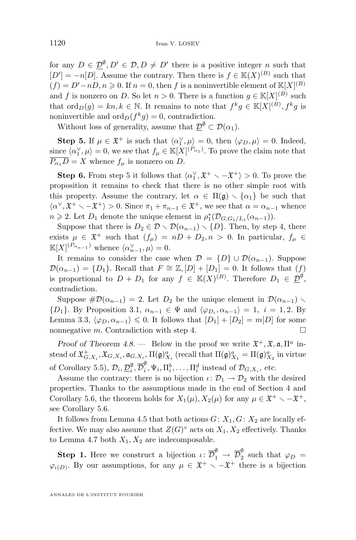for any  $D \in \mathcal{D}^{\emptyset}, D' \in \mathcal{D}, D \neq D'$  there is a positive integer n such that  $[D'] = -n[D]$ . Assume the contrary. Then there is  $f \in K(X)^{(B)}$  such that  $(f) = D' - nD, n \ge 0$ . If  $n = 0$ , then f is a noninvertible element of  $\mathbb{K}[X]^{(B)}$ and f is nonzero on D. So let  $n > 0$ . There is a function  $g \in \mathbb{K}[X]^{(B)}$  such that  $\mathrm{ord}_D(g) = kn, k \in \mathbb{N}$ . It remains to note that  $f^k g \in \mathbb{K}[X]^{(B)}, f^k g$  is noninvertible and  $\text{ord}_D(f^kg) = 0$ , contradiction.

Without loss of generality, assume that  $\underline{\mathcal{D}}^{\emptyset} \subset \mathcal{D}(\alpha_1)$ .

**Step 5.** If  $\mu \in \mathfrak{X}^+$  is such that  $\langle \alpha_1^{\vee}, \mu \rangle = 0$ , then  $\langle \varphi_D, \mu \rangle = 0$ . Indeed, since  $\langle \alpha_1^{\vee}, \mu \rangle = 0$ , we see that  $f_{\mu} \in \mathbb{K}[X]^{(P_{\alpha_1})}$ . To prove the claim note that  $\overline{P_{\alpha_1}D} = X$  whence  $f_\mu$  is nonzero on D.

**Step 6.** From step 5 it follows that  $\langle \alpha_1^{\vee}, \mathfrak{X}^+ \setminus -\mathfrak{X}^+ \rangle > 0$ . To prove the proposition it remains to check that there is no other simple root with this property. Assume the contrary, let  $\alpha \in \Pi(\mathfrak{g}) \setminus {\alpha_1}$  be such that  $\langle \alpha^\vee, \mathfrak{X}^+ \setminus -\mathfrak{X}^+ \rangle > 0$ . Since  $\pi_1 + \pi_{n-1} \in \mathfrak{X}^+$ , we see that  $\alpha = \alpha_{n-1}$  whence  $n \geqslant 2$ . Let  $D_1$  denote the unique element in  $\rho_1^*(\mathcal{D}_{G,G_1/L_1}(\alpha_{n-1}))$ .

Suppose that there is  $D_2 \in \mathcal{D} \setminus \mathcal{D}(\alpha_{n-1}) \setminus \{D\}$ . Then, by step 4, there exists  $\mu \in \mathfrak{X}^+$  such that  $(f_\mu) = nD + D_2, n > 0$ . In particular,  $f_\mu \in$  $\mathbb{K}[X]^{(P_{\alpha_{n-1}})}$  whence  $\langle \alpha_{n-1}^{\vee}, \mu \rangle = 0.$ 

It remains to consider the case when  $\mathcal{D} = \{D\} \cup \mathcal{D}(\alpha_{n-1})$ . Suppose  $\mathcal{D}(\alpha_{n-1}) = \{D_1\}.$  Recall that  $F \cong \mathbb{Z}, [D] + [D_1] = 0.$  It follows that  $(f)$ is proportional to  $D + D_1$  for any  $f \in K(X)^{(B)}$ . Therefore  $D_1 \in \underline{\mathcal{D}}^{\emptyset}$ , contradiction.

Suppose  $\#\mathcal{D}(\alpha_{n-1}) = 2$ . Let  $D_2$  be the unique element in  $\mathcal{D}(\alpha_{n-1})$  $\{D_1\}$ . By Proposition [3.1,](#page-7-0)  $\alpha_{n-1} \in \Psi$  and  $\langle \varphi_{D_i}, \alpha_{n-1} \rangle = 1, i = 1, 2$ . By Lemma [3.3,](#page-8-0)  $\langle \varphi_D, \alpha_{n-1} \rangle \leq 0$ . It follows that  $[D_1] + [D_2] = m[D]$  for some nonnegative *m*. Contradiction with step 4.  $\Box$ 

*Proof of Theorem [4.8.](#page-10-0)* — Below in the proof we write  $\mathfrak{X}^+, \mathfrak{X}, \mathfrak{a}, \Pi^a$  instead of  $\mathfrak{X}^+_{G,X_i}, \mathfrak{X}_{G,X_i}, \mathfrak{a}_{G,X_i}, \Pi(\mathfrak{g})_{X_i}^a$  (recall that  $\Pi(\mathfrak{g})_{X_1}^a = \Pi(\mathfrak{g})_{X_2}^a$  in virtue of Corollary [5.5\)](#page-12-0),  $\mathcal{D}_i, \underline{\mathcal{D}}_i^{\emptyset}, \overline{\mathcal{D}}_i^{\emptyset}$  $\psi_i^{\psi}, \Psi_i, \Pi_i^b, \dots, \Pi_i^d$  instead of  $\mathcal{D}_{G,X_i}$ , etc.

Assume the contrary: there is no bijection  $\iota: \mathcal{D}_1 \to \mathcal{D}_2$  with the desired properties. Thanks to the assumptions made in the end of Section [4](#page-8-0) and Corollary [5.6,](#page-12-0) the theorem holds for  $X_1(\mu)$ ,  $X_2(\mu)$  for any  $\mu \in \mathfrak{X}^+ \setminus -\mathfrak{X}^+$ , see Corollary [5.6.](#page-12-0)

It follows from Lemma [4.5](#page-9-0) that both actions  $G: X_1, G: X_2$  are locally effective. We may also assume that  $Z(G)^\circ$  acts on  $X_1, X_2$  effectively. Thanks to Lemma [4.7](#page-9-0) both  $X_1, X_2$  are indecomposable.

**Step 1.** Here we construct a bijection  $\iota: \overline{\mathcal{D}}_1^{\emptyset} \to \overline{\mathcal{D}}_2^{\emptyset}$  $\frac{\nu}{2}$  such that  $\varphi_D =$  $\varphi_{\iota(D)}$ . By our assumptions, for any  $\mu \in \mathfrak{X}^+ \setminus -\mathfrak{X}^+$  there is a bijection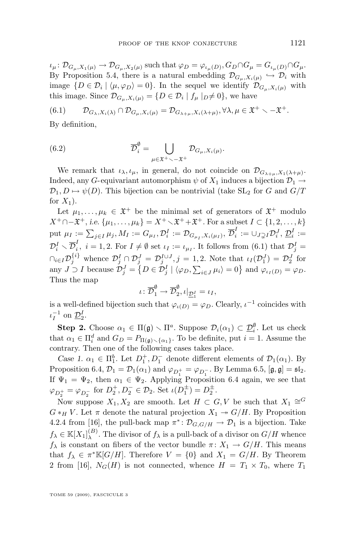$\iota_\mu \colon \mathcal{D}_{G_\mu, X_1(\mu)} \to \mathcal{D}_{G_\mu, X_2(\mu)}$  such that  $\varphi_D = \varphi_{\iota_\mu(D)}, G_D \cap G_\mu = G_{\iota_\mu(D)} \cap G_\mu.$ By Proposition [5.4,](#page-11-0) there is a natural embedding  $\mathcal{D}_{G_{\mu},X_i(\mu)} \hookrightarrow \mathcal{D}_i$  with image  $\{D \in \mathcal{D}_i \mid \langle \mu, \varphi_D \rangle = 0\}$ . In the sequel we identify  $\mathcal{D}_{G_\mu, X_i(\mu)}$  with this image. Since  $\mathcal{D}_{G_{\mu}, X_i(\mu)} = \{D \in \mathcal{D}_i \mid f_{\mu} \mid D \neq 0\}$ , we have

(6.1)  $\mathcal{D}_{G_{\lambda},X_i(\lambda)} \cap \mathcal{D}_{G_{\mu},X_i(\mu)} = \mathcal{D}_{G_{\lambda+\mu},X_i(\lambda+\mu)}, \forall \lambda, \mu \in \mathfrak{X}^+ \setminus -\mathfrak{X}^+.$ 

By definition,

(6.2) 
$$
\overline{\mathcal{D}}_i^{\emptyset} = \bigcup_{\mu \in \mathfrak{X}^+ \backsim -\mathfrak{X}^+} \mathcal{D}_{G_{\mu}, X_i(\mu)}.
$$

We remark that  $\iota_{\lambda}, \iota_{\mu}$ , in general, do not coincide on  $\mathcal{D}_{G_{\lambda+\mu}, X_1(\lambda+\mu)}$ . Indeed, any G-equivariant automorphism  $\psi$  of  $X_1$  induces a bijection  $\mathcal{D}_1 \rightarrow$  $\mathcal{D}_1, D \mapsto \psi(D)$ . This bijection can be nontrivial (take SL<sub>2</sub> for G and G/T for  $X_1$ ).

Let  $\mu_1, \ldots, \mu_k \in \mathfrak{X}^+$  be the minimal set of generators of  $\mathfrak{X}^+$  modulo  $X^+\cap-\mathfrak{X}^+$ , *i.e.*  $\{\mu_1,\ldots,\mu_k\}=X^+\setminus\mathfrak{X}^++\mathfrak{X}^+$ . For a subset  $I\subset\{1,2,\ldots,k\}$ put  $\mu_I:=\sum_{j\in I}\mu_j, M_I:=G_{\mu_I}, \mathcal{D}_i^I:=\mathcal{D}_{G_{\mu_I},X_i(\mu_I)},$   $\overline{\mathcal{D}}_i^I$  $\mathcal{D}_i^I:=\cup_{J\supsetneq I}\mathcal{D}_i^J,\, \underline{\mathcal{D}}_i^I:=$  $\mathcal{D}_i^I \smallsetminus \overline{\mathcal{D}}_i^I$  $i_i$ ,  $i = 1, 2$ . For  $I \neq \emptyset$  set  $\iota_I := \iota_{\mu_I}$ . It follows from (6.1) that  $\mathcal{D}_j^I =$  $\bigcap_{i\in I} \mathcal{D}_j^{\{i\}}$  whence  $\mathcal{D}_j^I \cap \mathcal{D}_j^J = \mathcal{D}_j^{I\cup J}, j = 1, 2$ . Note that  $\iota_I(\mathcal{D}_1^J) = \mathcal{D}_2^J$  for any  $J \supset I$  because  $\mathcal{D}_j^J = \{ D \in \mathcal{D}_j^I \mid \langle \varphi_D, \sum_{i \in J} \mu_i \rangle = 0 \}$  and  $\varphi_{\iota_I(D)} = \varphi_D$ . Thus the map

$$
\iota\colon \overline{\mathcal{D}}_1^{\emptyset} \to \overline{\mathcal{D}}_2^{\emptyset}, \iota|_{\underline{\mathcal{D}}_1^I} = \iota_I,
$$

is a well-defined bijection such that  $\varphi_{\iota(D)} = \varphi_D$ . Clearly,  $\iota^{-1}$  coincides with  $\iota_I^{-1}$  on  $\underline{\mathcal{D}}_2^I$ .

**Step 2.** Choose  $\alpha_1 \in \Pi(\mathfrak{g}) \setminus \Pi^a$ . Suppose  $\mathcal{D}_i(\alpha_1) \subset \underline{\mathcal{D}}_i^{\emptyset}$ . Let us check that  $\alpha_1 \in \Pi_i^d$  and  $G_D = P_{\Pi(\mathfrak{g}) \setminus {\{\alpha_1\}}}$ . To be definite, put  $i = 1$ . Assume the contrary. Then one of the following cases takes place.

*Case 1.*  $\alpha_1 \in \Pi_1^b$ . Let  $D_1^+, D_1^-$  denote different elements of  $\mathcal{D}_1(\alpha_1)$ . By Proposition [6.4,](#page-14-0)  $\mathcal{D}_1 = \mathcal{D}_1(\alpha_1)$  and  $\varphi_{D_1^+} = \varphi_{D_1^-}$ . By Lemma [6.5,](#page-14-0)  $[\mathfrak{g}, \mathfrak{g}] = \mathfrak{sl}_2$ . If  $\Psi_1 = \Psi_2$ , then  $\alpha_1 \in \Psi_2$ . Applying Proposition [6.4](#page-14-0) again, we see that  $\varphi_{D_2^+} = \varphi_{D_2^-}$  for  $D_2^+, D_2^- \in \mathcal{D}_2$ . Set  $\iota(D_1^{\pm}) = D_2^{\pm}$ .

Now suppose  $X_1, X_2$  are smooth. Let  $H \subset G, V$  be such that  $X_1 \cong^G V$  $G *_H V$ . Let  $\pi$  denote the natural projection  $X_1 \rightarrow G/H$ . By Proposition 4.2.4 from [\[16\]](#page-29-0), the pull-back map  $\pi^* \colon \mathcal{D}_{G,G/H} \to \mathcal{D}_1$  is a bijection. Take  $f_{\lambda}\in \mathbb{K}[X_1]^{(B)}_{\lambda}$  $\lambda^{(B)}$ . The divisor of  $f_{\lambda}$  is a pull-back of a divisor on  $G/H$  whence  $f_{\lambda}$  is constant on fibers of the vector bundle  $\pi: X_1 \to G/H$ . This means that  $f_{\lambda} \in \pi^* \mathbb{K}[G/H]$ . Therefore  $V = \{0\}$  and  $X_1 = G/H$ . By Theorem 2 from [\[16\]](#page-29-0),  $N_G(H)$  is not connected, whence  $H = T_1 \times T_0$ , where  $T_1$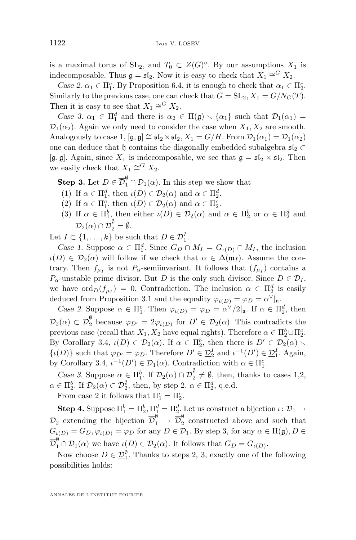is a maximal torus of  $SL_2$ , and  $T_0 \subset Z(G)^\circ$ . By our assumptions  $X_1$  is indecomposable. Thus  $\mathfrak{g} = \mathfrak{sl}_2$ . Now it is easy to check that  $X_1 \cong^G X_2$ .

*Case 2.*  $\alpha_1 \in \Pi_1^c$ . By Proposition [6.4,](#page-14-0) it is enough to check that  $\alpha_1 \in \Pi_2^c$ . Similarly to the previous case, one can check that  $G = SL_2$ ,  $X_1 = G/N_G(T)$ . Then it is easy to see that  $X_1 \cong^G X_2$ .

*Case 3.*  $\alpha_1 \in \Pi_1^d$  and there is  $\alpha_2 \in \Pi(\mathfrak{g}) \setminus \{\alpha_1\}$  such that  $\mathcal{D}_1(\alpha_1) =$  $\mathcal{D}_1(\alpha_2)$ . Again we only need to consider the case when  $X_1, X_2$  are smooth. Analogously to case 1,  $[\mathfrak{g}, \mathfrak{g}] \cong \mathfrak{sl}_2 \times \mathfrak{sl}_2$ ,  $X_1 = G/H$ . From  $\mathcal{D}_1(\alpha_1) = \mathcal{D}_1(\alpha_2)$ one can deduce that  $\mathfrak{h}$  contains the diagonally embedded subalgebra  $\mathfrak{sl}_2 \subset$ [g, g]. Again, since  $X_1$  is indecomposable, we see that  $\mathfrak{g} = \mathfrak{sl}_2 \times \mathfrak{sl}_2$ . Then we easily check that  $X_1 \cong^G X_2$ .

**Step 3.** Let  $D \in \overline{\mathcal{D}}_1^{\emptyset} \cap \mathcal{D}_1(\alpha)$ . In this step we show that

- (1) If  $\alpha \in \Pi_1^d$ , then  $\iota(D) \in \mathcal{D}_2(\alpha)$  and  $\alpha \in \Pi_2^d$ .
- (2) If  $\alpha \in \Pi_1^c$ , then  $\iota(D) \in \mathcal{D}_2(\alpha)$  and  $\alpha \in \Pi_2^c$ .
- (3) If  $\alpha \in \Pi_1^b$ , then either  $\iota(D) \in \mathcal{D}_2(\alpha)$  and  $\alpha \in \Pi_2^b$  or  $\alpha \in \Pi_2^d$  and  $\mathcal{D}_2(\alpha) \cap \overline{\mathcal{D}}_2^{\emptyset} = \emptyset.$

Let  $I \subset \{1, \ldots, k\}$  be such that  $D \in \underline{\mathcal{D}}_1^I$ .

Case 1. Suppose  $\alpha \in \Pi_1^d$ . Since  $G_D \cap M_I = G_{\iota(D)} \cap M_I$ , the inclusion  $u(D) \in \mathcal{D}_2(\alpha)$  will follow if we check that  $\alpha \in \Delta(\mathfrak{m}_I)$ . Assume the contrary. Then  $f_{\mu_I}$  is not  $P_{\alpha}$ -semiinvariant. It follows that  $(f_{\mu_I})$  contains a  $P_{\alpha}$ -unstable prime divisor. But D is the only such divisor. Since  $D \in \mathcal{D}_I$ , we have  $\text{ord}_D(f_{\mu_I}) = 0$ . Contradiction. The inclusion  $\alpha \in \Pi_2^d$  is easily deduced from Proposition [3.1](#page-7-0) and the equality  $\varphi_{\iota(D)} = \varphi_D = \alpha^{\vee}|_{\mathfrak{a}}$ .

*Case 2.* Suppose  $\alpha \in \Pi_1^c$ . Then  $\varphi_{\iota(D)} = \varphi_D = \alpha^{\vee}/2_{|\mathfrak{a}}$ . If  $\alpha \in \Pi_2^d$ , then  $\mathcal{D}_2(\alpha) \subset \overline{\mathcal{D}}_2^{\emptyset}$  because  $\varphi_{D'} = 2\varphi_{\iota(D)}$  for  $D' \in \mathcal{D}_2(\alpha)$ . This contradicts the previous case (recall that  $X_1, X_2$  have equal rights). Therefore  $\alpha \in \Pi_2^b \cup \Pi_2^c$ . By Corollary [3.4,](#page-8-0)  $\iota(D) \in \mathcal{D}_2(\alpha)$ . If  $\alpha \in \Pi_2^b$ , then there is  $D' \in \mathcal{D}_2(\alpha)$ .  $\{\iota(D)\}\$  such that  $\varphi_{D'} = \varphi_D$ . Therefore  $D' \in \underline{\mathcal{D}}_2^I$  and  $\iota^{-1}(D') \in \underline{\mathcal{D}}_1^I$ . Again, by Corollary [3.4,](#page-8-0)  $\iota^{-1}(D') \in \mathcal{D}_1(\alpha)$ . Contradiction with  $\alpha \in \Pi_1^c$ .

*Case 3.* Suppose  $\alpha \in \Pi_1^b$ . If  $\mathcal{D}_2(\alpha) \cap \overline{\mathcal{D}}_2^{\emptyset} \neq \emptyset$ , then, thanks to cases 1,2,  $\alpha \in \Pi_2^b$ . If  $\mathcal{D}_2(\alpha) \subset \underline{\mathcal{D}}_2^{\emptyset}$ , then, by step 2,  $\alpha \in \Pi_2^d$ , q.e.d.

From case 2 it follows that  $\Pi_1^c = \Pi_2^c$ .

**Step 4.** Suppose  $\Pi_1^b = \Pi_2^b$ ,  $\Pi_1^d = \Pi_2^d$ . Let us construct a bijection  $\iota \colon \mathcal{D}_1 \to$  $\mathcal{D}_2$  extending the bijection  $\overline{\mathcal{D}}_1^{\emptyset} \rightarrow \overline{\mathcal{D}}_2^{\emptyset}$  $\frac{v}{2}$  constructed above and such that  $G_{\iota(D)} = G_D, \varphi_{\iota(D)} = \varphi_D$  for any  $D \in \mathcal{D}_1$ . By step 3, for any  $\alpha \in \Pi(\mathfrak{g}), D \in$  $\overline{\mathcal{D}}_1^{\emptyset} \cap \mathcal{D}_1(\alpha)$  we have  $\iota(D) \in \mathcal{D}_2(\alpha)$ . It follows that  $G_D = G_{\iota(D)}$ .

Now choose  $D \in \underline{\mathcal{D}}_1^{\emptyset}$ . Thanks to steps 2, 3, exactly one of the following possibilities holds:

ANNALES DE L'INSTITUT FOURIER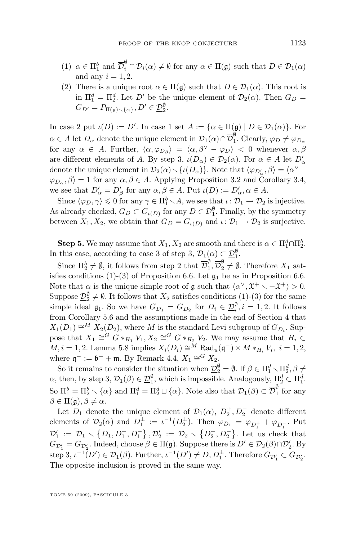- (1)  $\alpha \in \Pi_1^b$  and  $\overline{\mathcal{D}}_i^{\emptyset} \cap \mathcal{D}_i(\alpha) \neq \emptyset$  for any  $\alpha \in \Pi(\mathfrak{g})$  such that  $D \in \mathcal{D}_1(\alpha)$ and any  $i = 1, 2$ .
- (2) There is a unique root  $\alpha \in \Pi(\mathfrak{g})$  such that  $D \in \mathcal{D}_1(\alpha)$ . This root is in  $\Pi_1^d = \Pi_2^d$ . Let D' be the unique element of  $\mathcal{D}_2(\alpha)$ . Then  $G_D =$  $G_{D'} = P_{\Pi(\mathfrak{g}) \smallsetminus {\{\alpha\}}}, D' \in \underline{\mathcal{D}}_2^{\emptyset}.$

In case 2 put  $\iota(D) := D'$ . In case 1 set  $A := {\alpha \in \Pi(\mathfrak{g}) \mid D \in \mathcal{D}_1(\alpha)}$ . For  $\alpha \in A$  let  $D_{\alpha}$  denote the unique element in  $\mathcal{D}_1(\alpha) \cap \overline{\mathcal{D}}_1^{\emptyset}$  $i<sub>1</sub>$ . Clearly,  $\varphi_D \neq \varphi_{D_{\alpha}}$ for any  $\alpha \in A$ . Further,  $\langle \alpha, \varphi_{D_\beta} \rangle = \langle \alpha, \beta^\vee - \varphi_D \rangle < 0$  whenever  $\alpha, \beta$ are different elements of A. By step 3,  $\iota(D_\alpha) \in \mathcal{D}_2(\alpha)$ . For  $\alpha \in A$  let  $D'_\alpha$ denote the unique element in  $\mathcal{D}_2(\alpha) \setminus {\{\iota(D_\alpha)\}}$ . Note that  $\langle \varphi_{D'_\alpha}, \beta \rangle = \langle \alpha^{\vee} - \beta \rangle$  $\varphi_{D_{\alpha}}, \beta \rangle = 1$  for any  $\alpha, \beta \in A$ . Applying Proposition [3.2](#page-8-0) and Corollary [3.4,](#page-8-0) we see that  $D'_\alpha = D'_\beta$  for any  $\alpha, \beta \in A$ . Put  $\iota(D) := D'_\alpha, \alpha \in A$ .

Since  $\langle \varphi_D, \gamma \rangle \leq 0$  for any  $\gamma \in \Pi_1^b \setminus A$ , we see that  $\iota \colon \mathcal{D}_1 \to \mathcal{D}_2$  is injective. As already checked,  $G_D \subset G_{\iota(D)}$  for any  $D \in \underline{\mathcal{D}}_1^{\emptyset}$ . Finally, by the symmetry between  $X_1, X_2$ , we obtain that  $G_D = G_{\iota(D)}$  and  $\iota \colon \mathcal{D}_1 \to \mathcal{D}_2$  is surjective.

**Step 5.** We may assume that  $X_1, X_2$  are smooth and there is  $\alpha \in \Pi_1^d \cap \Pi_2^b$ . In this case, according to case 3 of step 3,  $\mathcal{D}_1(\alpha) \subset \mathcal{D}_1^{\emptyset}$ .

Since  $\Pi_2^b \neq \emptyset$ , it follows from step 2 that  $\overline{\mathcal{D}}_1^{\emptyset}$  $\int_{1}^{\emptyset}$ ,  $\overline{\mathcal{D}}_{2}^{\emptyset} \neq \emptyset$ . Therefore  $X_1$  sat-isfies conditions (1)-(3) of Proposition [6.6.](#page-14-0) Let  $\mathfrak{g}_1$  be as in Proposition 6.6. Note that  $\alpha$  is the unique simple root of g such that  $\langle \alpha^{\vee}, \mathfrak{X}^+ \setminus -\mathfrak{X}^+ \rangle > 0$ . Suppose  $\underline{\mathcal{D}}_2^{\emptyset} \neq \emptyset$ . It follows that  $X_2$  satisfies conditions (1)-(3) for the same simple ideal  $\mathfrak{g}_1$ . So we have  $G_{D_1} = G_{D_2}$  for  $D_i \in \mathcal{D}_i^{\emptyset}, i = 1, 2$ . It follows from Corollary [5.6](#page-12-0) and the assumptions made in the end of Section [4](#page-8-0) that  $X_1(D_1) \cong M X_2(D_2)$ , where M is the standard Levi subgroup of  $G_{D_i}$ . Suppose that  $X_1 \cong^G G *_{H_1} V_1, X_2 \cong^G G *_{H_2} V_2$ . We may assume that  $H_i \subset$  $M, i = 1, 2$ . Lemma [5.8](#page-12-0) implies  $X_i(D_i) \cong M \text{ Rad}_u(\mathfrak{q}^-) \times M *_{{H_i}} V_i$ ,  $i = 1, 2$ , where  $\mathfrak{q}^- := \mathfrak{b}^- + \mathfrak{m}$ . By Remark [4.4,](#page-9-0)  $X_1 \cong^G X_2$ .

So it remains to consider the situation when  $\underline{\mathcal{D}}_2^{\emptyset} = \emptyset$ . If  $\beta \in \Pi_1^d \setminus \Pi_2^d, \beta \neq 0$  $\alpha$ , then, by step 3,  $\mathcal{D}_1(\beta) \in \mathcal{D}_1^{\emptyset}$ , which is impossible. Analogously,  $\Pi_2^d \subset \Pi_1^d$ . So  $\Pi_1^b = \Pi_2^b \setminus {\alpha}$  and  $\Pi_1^d = \Pi_2^d \sqcup {\alpha}$ . Note also that  $\mathcal{D}_1(\beta) \subset \overline{\mathcal{D}}_1^{\emptyset}$  $\frac{v}{1}$  for any  $\beta \in \Pi(\mathfrak{g}), \beta \neq \alpha.$ 

Let  $D_1$  denote the unique element of  $\mathcal{D}_1(\alpha)$ ,  $D_2^+, D_2^-$  denote different elements of  $\mathcal{D}_2(\alpha)$  and  $D_1^{\pm} := \iota^{-1}(D_2^{\pm})$ . Then  $\varphi_{D_1} = \varphi_{D_1^+} + \varphi_{D_1^-}$ . Put  $\mathcal{D}'_1 := \mathcal{D}_1 \setminus \{D_1, D_1^+, D_1^-\}, \mathcal{D}'_2 := \mathcal{D}_2 \setminus \{D_2^+, D_2^-\}.$  Let us check that  $G_{\mathcal{D}'_1} = G_{\mathcal{D}'_2}$ . Indeed, choose  $\beta \in \Pi(\mathfrak{g})$ . Suppose there is  $D' \in \mathcal{D}_2(\beta) \cap \mathcal{D}'_2$ . By step 3,  $\iota^{-1}(D') \in \mathcal{D}_1(\beta)$ . Further,  $\iota^{-1}(D') \neq D, D_1^{\pm}$ . Therefore  $G_{\mathcal{D}'_1} \subset G_{\mathcal{D}'_2}$ . The opposite inclusion is proved in the same way.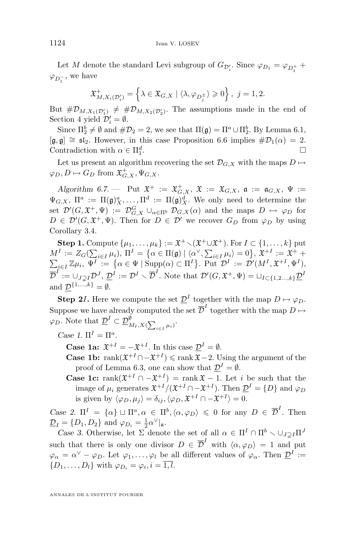Let M denote the standard Levi subgroup of  $G_{\mathcal{D}'_i}$ . Since  $\varphi_{D_1} = \varphi_{D_1^+} +$  $\varphi_{D_1^-}$ , we have

$$
\mathfrak{X}^+_{M,X_i(\mathcal{D}'_i)} = \left\{ \lambda \in \mathfrak{X}_{G,X} \mid \langle \lambda, \varphi_{D_j^{\pm}} \rangle \geqslant 0 \right\}, \ j = 1,2.
$$

But  $\#\mathcal{D}_{M,X_1(\mathcal{D}_1')} \neq \#\mathcal{D}_{M,X_2(\mathcal{D}_2')}$ . The assumptions made in the end of Section [4](#page-8-0) yield  $\mathcal{D}'_i = \emptyset$ .

Since  $\Pi_2^b \neq \emptyset$  and  $\#\mathcal{D}_2 = 2$ , we see that  $\Pi(\mathfrak{g}) = \Pi^a \cup \Pi_2^b$ . By Lemma [6.1,](#page-13-0)  $[\mathfrak{g}, \mathfrak{g}] \cong \mathfrak{sl}_2$ . However, in this case Proposition [6.6](#page-14-0) implies  $\#\mathcal{D}_1(\alpha) = 2$ . Contradiction with  $\alpha \in \Pi_1^d$ .

Let us present an algorithm recovering the set  $\mathcal{D}_{G,X}$  with the maps  $D \mapsto$  $\varphi_D, D \mapsto G_D$  from  $\mathfrak{X}^+_{G,X}, \Psi_{G,X}.$ 

 $\mathit{Algorithm 6.7.} \longrightarrow \; \text{Put} \; \mathfrak{X}^+ \; := \; \mathfrak{X}^+_{G,X}, \; \mathfrak{X} \; := \; \mathfrak{X}_{G,X}, \; \mathfrak{a} \; := \; \mathfrak{a}_{G,X}, \; \Psi \; := \;$  $\Psi_{G,X}, \Pi^a := \Pi(\mathfrak{g})^a_X, \ldots, \Pi^d := \Pi(\mathfrak{g})^d_X.$  We only need to determine the set  $\mathcal{D}'(G, \mathfrak{X}^+, \Psi) := \mathcal{D}_{G,X}^G \cup_{\alpha \in \Pi^b} \mathcal{D}_{G,X}(\alpha)$  and the maps  $D \mapsto \varphi_D$  for  $D \in \mathcal{D}'(G, \mathfrak{X}^+, \Psi)$ . Then for  $D \in \mathcal{D}'$  we recover  $G_D$  from  $\varphi_D$  by using Corollary [3.4.](#page-8-0)

**Step 1.** Compute  $\{\mu_1, \ldots, \mu_k\} := \mathfrak{X}^+ \setminus (\mathfrak{X}^+ \cup \mathfrak{X}^+).$  For  $I \subset \{1, \ldots, k\}$  put  $M^I:=Z_G(\sum_{i\in I}\mu_i),\, \Pi^I=\big\{\alpha\in\Pi(\mathfrak{g})\mid \langle\alpha^\vee,\sum_{i\in I}\mu_i\rangle=0\big\},\, \mathfrak{X}_-^{+I}:=\mathfrak{X}_-^{+}+$  $\sum_{i\in I} \mathbb{Z}\mu_i, \Psi^I := \left\{ \alpha \in \Psi \mid \text{Supp}(\alpha) \subset \Pi^I \right\}.$  Put  $\mathcal{D}^I := \mathcal{D}'(M^I, \mathfrak{X}^{+I}, \Psi^I),$  $\overline{\mathcal{D}}^I:=\cup_{J\supsetneq I}\mathcal{D}^J,\, \underline{\mathcal{D}}^I:=\mathcal{D}^I\smallsetminus\overline{\mathcal{D}}^I.$  Note that  $\mathcal{D}'(G,\mathfrak{X}^+,\Psi)=\sqcup_{I\subset\{1,2...,k\}}\underline{\mathcal{D}}^I$ and  $\underline{\mathcal{D}}^{\{1,\ldots,k\}} = \emptyset$ .

**Step 2***I***.** Here we compute the set  $\underline{\mathcal{D}}^I$  together with the map  $D \mapsto \varphi_D$ . Suppose we have already computed the set  $\overline{\mathcal{D}}^I$  together with the map  $D \mapsto$  $\varphi_D$ . Note that  $\underline{\mathcal{D}}^I \subset \underline{\mathcal{D}}_{M_I,X(\sum_{i \in I} \mu_i)}^{\emptyset}$ .

*Case 1.*  $\Pi^I = \Pi^a$ .

**Case 1a:**  $\mathfrak{X}^{+I} = -\mathfrak{X}^{+I}$ . In this case  $\underline{\mathcal{D}}^{I} = \emptyset$ .

- **Case 1b:** rank $(\mathfrak{X}^{+I} \cap -\mathfrak{X}^{+I}) \leq \text{rank } \mathfrak{X} 2$ . Using the argument of the proof of Lemma [6.3,](#page-13-0) one can show that  $\underline{\mathcal{D}}^I = \emptyset$ .
- **Case 1c:** rank $(\mathfrak{X}^{+I} \cap -\mathfrak{X}^{+I})$  = rank  $\mathfrak{X} 1$ . Let i be such that the image of  $\mu_i$  generates  $\mathfrak{X}^{+I}/(\mathfrak{X}^{+I}\cap-\mathfrak{X}^{+I})$ . Then  $\underline{\mathcal{D}}^I=\{D\}$  and  $\varphi_D$ is given by  $\langle \varphi_D, \mu_j \rangle = \delta_{ij}, \langle \varphi_D, \mathfrak{X}^{+I} \cap -\mathfrak{X}^{+I} \rangle = 0.$

Case 2.  $\Pi^I = {\alpha} \cup \Pi^a, \alpha \in \Pi^b, \langle \alpha, \varphi_D \rangle \leq 0$  for any  $D \in \overline{\mathcal{D}}^I$ . Then  $\underline{\mathcal{D}}_I = \{D_1, D_2\}$  and  $\varphi_{D_i} = \frac{1}{2} \alpha^{\vee}|_{\mathfrak{a}}$ .

*Case 3.* Otherwise, let  $\Sigma$  denote the set of all  $\alpha \in \Pi^I \cap \Pi^b \setminus \cup_{J\supset I} \Pi^J$ such that there is only one divisor  $D \in \overline{\mathcal{D}}^I$  with  $\langle \alpha, \varphi_D \rangle = 1$  and put  $\varphi_{\alpha} = \alpha^{\vee} - \varphi_D$ . Let  $\varphi_1, \ldots, \varphi_l$  be all different values of  $\varphi_{\alpha}$ . Then  $\underline{\mathcal{D}}^I :=$  $\{D_1, \ldots, D_l\}$  with  $\varphi_{D_i} = \varphi_i, i = 1, l$ .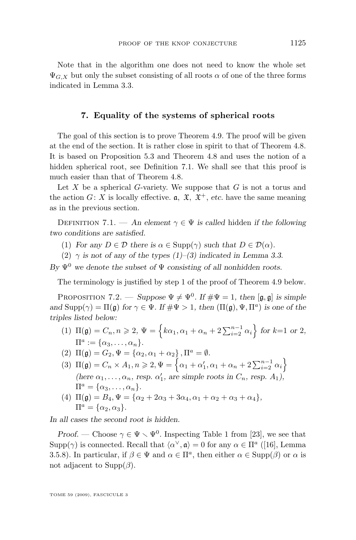<span id="page-21-0"></span>Note that in the algorithm one does not need to know the whole set  $\Psi_{G,X}$  but only the subset consisting of all roots  $\alpha$  of one of the three forms indicated in Lemma [3.3.](#page-8-0)

#### **7. Equality of the systems of spherical roots**

The goal of this section is to prove Theorem [4.9.](#page-10-0) The proof will be given at the end of the section. It is rather close in spirit to that of Theorem [4.8.](#page-10-0) It is based on Proposition [5.3](#page-11-0) and Theorem [4.8](#page-10-0) and uses the notion of a hidden spherical root, see Definition 7.1. We shall see that this proof is much easier than that of Theorem [4.8.](#page-10-0)

Let  $X$  be a spherical  $G$ -variety. We suppose that  $G$  is not a torus and the action  $G: X$  is locally effective.  $a, \mathfrak{X}, \mathfrak{X}^+$ , *etc.* have the same meaning as in the previous section.

DEFINITION 7.1. — An element  $\gamma \in \Psi$  is called hidden if the following *two conditions are satisfied.*

- (1) *For any*  $D \in \mathcal{D}$  *there is*  $\alpha \in \text{Supp}(\gamma)$  *such that*  $D \in \mathcal{D}(\alpha)$ *.*
- (2)  $\gamma$  *is not of any of the types (1)–(3) indicated in Lemma [3.3.](#page-8-0)*

 $B_y \Psi^0$  we denote the subset of  $\Psi$  consisting of all nonhidden roots.

The terminology is justified by step 1 of the proof of Theorem [4.9](#page-10-0) below.

PROPOSITION 7.2. — *Suppose*  $\Psi \neq \Psi^0$ . If  $\#\Psi = 1$ , then  $[\mathfrak{g}, \mathfrak{g}]$  *is simple and*  $\text{Supp}(\gamma) = \Pi(\mathfrak{g})$  *for*  $\gamma \in \Psi$ *. If*  $\#\Psi > 1$ *, then*  $(\Pi(\mathfrak{g}), \Psi, \Pi^a)$  *is one of the triples listed below:*

- (1)  $\Pi(\mathfrak{g}) = C_n, n \geq 2, \Psi = \left\{ k\alpha_1, \alpha_1 + \alpha_2 + 2\sum_{i=2}^{n-1} \alpha_i \right\}$  for k=1 or 2,  $\Pi^a := {\alpha_3, \ldots, \alpha_n}.$
- (2)  $\Pi(\mathfrak{g}) = G_2, \Psi = {\alpha_2, \alpha_1 + \alpha_2}, \Pi^a = \emptyset.$
- (3)  $\Pi(\mathfrak{g}) = C_n \times A_1, n \geq 2, \Psi = \left\{ \alpha_1 + \alpha'_1, \alpha_1 + \alpha_n + 2 \sum_{i=2}^{n-1} \alpha_i \right\}$ (here  $\alpha_1, \ldots, \alpha_n$ , resp.  $\alpha'_1$ , are simple roots in  $C_n$ , resp.  $A_1$ ),  $\Pi^a = {\alpha_3, \ldots, \alpha_n}.$
- (4)  $\Pi(\mathfrak{g}) = B_4, \Psi = {\alpha_2 + 2\alpha_3 + 3\alpha_4, \alpha_1 + \alpha_2 + \alpha_3 + \alpha_4},$  $\Pi^a = {\alpha_2, \alpha_3}.$

*In all cases the second root is hidden.*

*Proof.* — Choose  $\gamma \in \Psi \setminus \Psi^0$ . Inspecting Table 1 from [\[23\]](#page-29-0), we see that Supp( $\gamma$ ) is connected. Recall that  $\langle \alpha^{\vee}, \mathfrak{a} \rangle = 0$  for any  $\alpha \in \Pi^a$  ([\[16\]](#page-29-0), Lemma 3.5.8). In particular, if  $\beta \in \Psi$  and  $\alpha \in \Pi^a$ , then either  $\alpha \in \text{Supp}(\beta)$  or  $\alpha$  is not adjacent to  $\text{Supp}(\beta)$ .

TOME 59 (2009), FASCICULE 3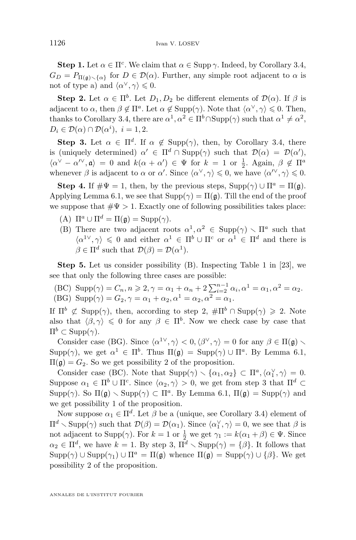**Step 1.** Let  $\alpha \in \Pi^c$ . We claim that  $\alpha \in \text{Supp }\gamma$ . Indeed, by Corollary [3.4,](#page-8-0)  $G_D = P_{\Pi(\mathfrak{a}) \setminus {\{\alpha\}}}$  for  $D \in \mathcal{D}(\alpha)$ . Further, any simple root adjacent to  $\alpha$  is not of type a) and  $\langle \alpha^{\vee}, \gamma \rangle \leq 0$ .

**Step 2.** Let  $\alpha \in \Pi^b$ . Let  $D_1, D_2$  be different elements of  $\mathcal{D}(\alpha)$ . If  $\beta$  is adjacent to  $\alpha$ , then  $\beta \notin \Pi^a$ . Let  $\alpha \notin \text{Supp}(\gamma)$ . Note that  $\langle \alpha^{\vee}, \gamma \rangle \leq 0$ . Then, thanks to Corollary [3.4,](#page-8-0) there are  $\alpha^1, \alpha^2 \in \Pi^b \cap \text{Supp}(\gamma)$  such that  $\alpha^1 \neq \alpha^2$ ,  $D_i \in \mathcal{D}(\alpha) \cap \mathcal{D}(\alpha^i), i = 1, 2.$ 

**Step 3.** Let  $\alpha \in \Pi^d$ . If  $\alpha \notin \text{Supp}(\gamma)$ , then, by Corollary [3.4,](#page-8-0) there is (uniquely determined)  $\alpha' \in \Pi^d \cap \text{Supp}(\gamma)$  such that  $\mathcal{D}(\alpha) = \mathcal{D}(\alpha')$ ,  $\langle \alpha^{\vee} - \alpha^{\prime \vee}, \mathfrak{a} \rangle = 0$  and  $k(\alpha + \alpha^{\prime}) \in \Psi$  for  $k = 1$  or  $\frac{1}{2}$ . Again,  $\beta \notin \Pi^a$ whenever  $\beta$  is adjacent to  $\alpha$  or  $\alpha'$ . Since  $\langle \alpha^{\vee}, \gamma \rangle \leq 0$ , we have  $\langle \alpha^{\prime \vee}, \gamma \rangle \leq 0$ .

**Step 4.** If  $\#\Psi = 1$ , then, by the previous steps,  $\text{Supp}(\gamma) \cup \Pi^a = \Pi(\mathfrak{g})$ . Applying Lemma [6.1,](#page-13-0) we see that  $\text{Supp}(\gamma) = \Pi(\mathfrak{g})$ . Till the end of the proof we suppose that  $\#\Psi > 1$ . Exactly one of following possibilities takes place:

- (A)  $\Pi^a \cup \Pi^d = \Pi(\mathfrak{g}) = \text{Supp}(\gamma)$ .
- (B) There are two adjacent roots  $\alpha^1, \alpha^2 \in \text{Supp}(\gamma) \setminus \Pi^a$  such that  $\langle \alpha^{1\vee}, \gamma \rangle \leq 0$  and either  $\alpha^1 \in \Pi^b \cup \Pi^c$  or  $\alpha^1 \in \Pi^d$  and there is  $\beta \in \Pi^d$  such that  $\mathcal{D}(\beta) = \mathcal{D}(\alpha^1)$ .

**Step 5.** Let us consider possibility (B). Inspecting Table 1 in [\[23\]](#page-29-0), we see that only the following three cases are possible:

(BC) Supp(
$$
\gamma
$$
) =  $C_n$ ,  $n \ge 2$ ,  $\gamma = \alpha_1 + \alpha_n + 2 \sum_{i=2}^{n-1} \alpha_i$ ,  $\alpha^1 = \alpha_1$ ,  $\alpha^2 = \alpha_2$ .  
(BG) Supp( $\gamma$ ) =  $G_2$ ,  $\gamma = \alpha_1 + \alpha_2$ ,  $\alpha^1 = \alpha_2$ ,  $\alpha^2 = \alpha_1$ .

If  $\Pi^b \not\subset \text{Supp}(\gamma)$ , then, according to step 2,  $\#\Pi^b \cap \text{Supp}(\gamma) \geq 2$ . Note also that  $\langle \beta, \gamma \rangle \leq 0$  for any  $\beta \in \Pi^b$ . Now we check case by case that  $\Pi^b \subset \text{Supp}(\gamma)$ .

Consider case (BG). Since  $\langle \alpha^{1\vee}, \gamma \rangle < 0, \langle \beta^{\vee}, \gamma \rangle = 0$  for any  $\beta \in \Pi(\mathfrak{g})$ .  $\text{Supp}(\gamma)$ , we get  $\alpha^1 \in \Pi^b$ . Thus  $\Pi(\mathfrak{g}) = \text{Supp}(\gamma) \cup \Pi^a$ . By Lemma [6.1,](#page-13-0)  $\Pi(\mathfrak{g}) = G_2$ . So we get possibility 2 of the proposition.

Consider case (BC). Note that  $\text{Supp}(\gamma) \setminus {\alpha_1, \alpha_2} \subset \Pi^a, \langle \alpha_1^{\vee}, \gamma \rangle = 0.$ Suppose  $\alpha_1 \in \Pi^b \cup \Pi^c$ . Since  $\langle \alpha_2, \gamma \rangle > 0$ , we get from step 3 that  $\Pi^d \subset$  $\text{Supp}(\gamma)$ . So  $\Pi(\mathfrak{g}) \setminus \text{Supp}(\gamma) \subset \Pi^a$ . By Lemma [6.1,](#page-13-0)  $\Pi(\mathfrak{g}) = \text{Supp}(\gamma)$  and we get possibility 1 of the proposition.

Now suppose  $\alpha_1 \in \Pi^d$ . Let  $\beta$  be a (unique, see Corollary [3.4\)](#page-8-0) element of  $\Pi^d \setminus \text{Supp}(\gamma)$  such that  $\mathcal{D}(\beta) = \mathcal{D}(\alpha_1)$ . Since  $\langle \alpha_1^{\vee}, \gamma \rangle = 0$ , we see that  $\beta$  is not adjacent to Supp( $\gamma$ ). For  $k = 1$  or  $\frac{1}{2}$  we get  $\gamma_1 := k(\alpha_1 + \beta) \in \Psi$ . Since  $\alpha_2 \in \Pi^d$ , we have  $k = 1$ . By step 3,  $\Pi^d \setminus \text{Supp}(\gamma) = {\beta}.$  It follows that  $\text{Supp}(\gamma) \cup \text{Supp}(\gamma_1) \cup \Pi^a = \Pi(\mathfrak{g})$  whence  $\Pi(\mathfrak{g}) = \text{Supp}(\gamma) \cup {\beta}.$  We get possibility 2 of the proposition.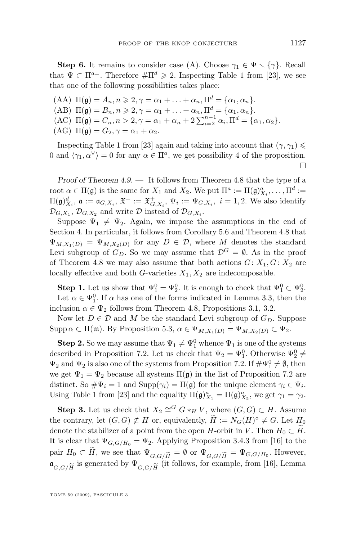**Step 6.** It remains to consider case (A). Choose  $\gamma_1 \in \Psi \setminus {\gamma}$ . Recall that  $\Psi \subset \Pi^{a\perp}$ . Therefore  $\#\Pi^d \geq 2$ . Inspecting Table 1 from [\[23\]](#page-29-0), we see that one of the following possibilities takes place:

- (AA)  $\Pi(\mathfrak{g}) = A_n, n \geqslant 2, \gamma = \alpha_1 + \ldots + \alpha_n, \Pi^d = {\alpha_1, \alpha_n}.$
- (AB)  $\Pi(\mathfrak{g}) = B_n, n \geqslant 2, \gamma = \alpha_1 + \ldots + \alpha_n, \Pi^d = {\alpha_1, \alpha_n}.$
- (AC)  $\Pi(\mathfrak{g}) = C_n, n > 2, \gamma = \alpha_1 + \alpha_n + 2 \sum_{i=2}^{n-1} \alpha_i, \Pi^d = {\alpha_1, \alpha_2}.$
- (AG)  $\Pi(\mathfrak{g}) = G_2, \gamma = \alpha_1 + \alpha_2.$

Inspecting Table 1 from [\[23\]](#page-29-0) again and taking into account that  $(\gamma, \gamma_1) \leq$ 0 and  $\langle \gamma_1, \alpha^{\vee} \rangle = 0$  for any  $\alpha \in \Pi^a$ , we get possibility 4 of the proposition. П

*Proof of Theorem [4.9.](#page-10-0) —* It follows from Theorem [4.8](#page-10-0) that the type of a root  $\alpha \in \Pi(\mathfrak{g})$  is the same for  $X_1$  and  $X_2$ . We put  $\Pi^a := \Pi(\mathfrak{g})_{X_i}^a, \dots, \Pi^d :=$  $\Pi(\mathfrak{g})^d_{X_i}$ ,  $\mathfrak{a} := \mathfrak{a}_{G,X_i}$ ,  $\mathfrak{X}^+ := \mathfrak{X}^+_{G,X_i}$ ,  $\Psi_i := \Psi_{G,X_i}$ ,  $i = 1,2$ . We also identify  $\mathcal{D}_{G,X_1}, \mathcal{D}_{G,X_2}$  and write  $\mathcal D$  instead of  $\mathcal{D}_{G,X_i}$ .

Suppose  $\Psi_1 \neq \Psi_2$ . Again, we impose the assumptions in the end of Section [4.](#page-8-0) In particular, it follows from Corollary [5.6](#page-12-0) and Theorem [4.8](#page-10-0) that  $\Psi_{M,X_1(D)} = \Psi_{M,X_2(D)}$  for any  $D \in \mathcal{D}$ , where M denotes the standard Levi subgroup of  $G_D$ . So we may assume that  $\mathcal{D}^G = \emptyset$ . As in the proof of Theorem [4.8](#page-10-0) we may also assume that both actions  $G: X_1, G: X_2$  are locally effective and both  $G$ -varieties  $X_1, X_2$  are indecomposable.

**Step 1.** Let us show that  $\Psi_1^0 = \Psi_2^0$ . It is enough to check that  $\Psi_1^0 \subset \Psi_2^0$ . Let  $\alpha \in \Psi_1^0$ . If  $\alpha$  has one of the forms indicated in Lemma [3.3,](#page-8-0) then the inclusion  $\alpha \in \Psi_2$  follows from Theorem [4.8,](#page-10-0) Propositions [3.1,](#page-7-0) [3.2.](#page-8-0)

Now let  $D \in \mathcal{D}$  and M be the standard Levi subgroup of  $G_D$ . Suppose Supp  $\alpha \subset \Pi(\mathfrak{m})$ . By Proposition [5.3,](#page-11-0)  $\alpha \in \Psi_{M,X_1(D)} = \Psi_{M,X_2(D)} \subset \Psi_2$ .

**Step 2.** So we may assume that  $\Psi_1 \neq \Psi_1^0$  whence  $\Psi_1$  is one of the systems described in Proposition [7.2.](#page-21-0) Let us check that  $\Psi_2 = \Psi_1^0$ . Otherwise  $\Psi_2^0 \neq$  $\Psi_2$  and  $\Psi_2$  is also one of the systems from Proposition [7.2.](#page-21-0) If  $\#\Psi_1^0 \neq \emptyset$ , then we get  $\Psi_1 = \Psi_2$  because all systems  $\Pi(\mathfrak{g})$  in the list of Proposition [7.2](#page-21-0) are distinct. So  $\#\Psi_i = 1$  and  $\text{Supp}(\gamma_i) = \Pi(\mathfrak{g})$  for the unique element  $\gamma_i \in \Psi_i$ . Using Table 1 from [\[23\]](#page-29-0) and the equality  $\Pi(\mathfrak{g})_{X_1}^a = \Pi(\mathfrak{g})_{X_2}^a$ , we get  $\gamma_1 = \gamma_2$ .

**Step 3.** Let us check that  $X_2 \cong^G G *_{H} V$ , where  $(G, G) \subset H$ . Assume the contrary, let  $(G, G) \not\subset H$  or, equivalently,  $\widetilde{H} := N_G(H)^\circ \neq G$ . Let  $H_0$ denote the stabilizer of a point from the open H-orbit in V. Then  $H_0 \subset H$ . It is clear that  $\Psi_{G,G/H_0} = \Psi_2$ . Applying Proposition 3.4.3 from [\[16\]](#page-29-0) to the pair  $H_0 \subset H$ , we see that  $\Psi_{G,G/\widetilde{H}} = \emptyset$  or  $\Psi_{G,G/\widetilde{H}} = \Psi_{G,G/H_0}$ . However,<br>  $\sigma$  is generated by  $\Psi \sim$  (it follows for example from [16] Lemma  $\mathfrak{a}_{G,G/\widetilde{H}}$  is generated by  $\Psi_{G,G/\widetilde{H}}$  (it follows, for example, from [\[16\]](#page-29-0), Lemma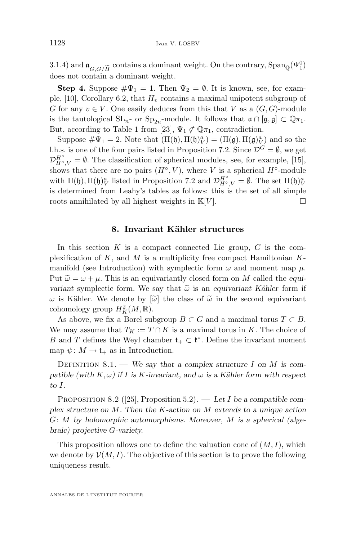<span id="page-24-0"></span>3.1.4) and  $\mathfrak{a}_{G, G/\widetilde{H}}$  contains a dominant weight. On the contrary,  $\text{Span}_{\mathbb{Q}}(\Psi_1^0)$  does not contain a dominant weight. does not contain a dominant weight.

**Step 4.** Suppose  $\#\Psi_1 = 1$ . Then  $\Psi_2 = \emptyset$ . It is known, see, for exam-ple, [\[10\]](#page-29-0), Corollary 6.2, that  $H<sub>v</sub>$  contains a maximal unipotent subgroup of G for any  $v \in V$ . One easily deduces from this that V as a  $(G, G)$ -module is the tautological  $SL_n$ - or  $Sp_{2n}$ -module. It follows that  $\mathfrak{a} \cap [\mathfrak{g}, \mathfrak{g}] \subset \mathbb{Q}\pi_1$ . But, according to Table 1 from [\[23\]](#page-29-0),  $\Psi_1 \not\subset \mathbb{Q}\pi_1$ , contradiction.

Suppose  $\#\Psi_1 = 2$ . Note that  $(\Pi(\mathfrak{h}), \Pi(\mathfrak{h})_V^a) = (\Pi(\mathfrak{g}), \Pi(\mathfrak{g})_V^a)$  and so the l.h.s. is one of the four pairs listed in Proposition [7.2.](#page-21-0) Since  $\mathcal{D}^G = \emptyset$ , we get  $\mathcal{D}_{H^{\circ},V}^{H^{\circ}} = \emptyset$ . The classification of spherical modules, see, for example, [\[15\]](#page-29-0), shows that there are no pairs  $(H^{\circ}, V)$ , where V is a spherical  $H^{\circ}$ -module with  $\Pi(\mathfrak{h})$ ,  $\Pi(\mathfrak{h})_V^a$  listed in Proposition [7.2](#page-21-0) and  $\mathcal{D}_{H^{\circ},V}^{H^{\circ}} = \emptyset$ . The set  $\Pi(\mathfrak{h})_V^a$ is determined from Leahy's tables as follows: this is the set of all simple roots annihilated by all highest weights in  $\mathbb{K}[V]$ .

#### **8. Invariant Kähler structures**

In this section  $K$  is a compact connected Lie group,  $G$  is the complexification of K, and M is a multiplicity free compact Hamiltonian  $K$ manifold (see Introduction) with symplectic form  $\omega$  and moment map  $\mu$ . Put  $\tilde{\omega} = \omega + \mu$ . This is an equivariantly closed form on M called the *equivariant* symplectic form. We say that  $\tilde{\omega}$  is an *equivariant Kähler* form if  $ω$  is Kähler. We denote by  $\lbrack \tilde{ω} \rbrack$  the class of  $\tilde{ω}$  in the second equivariant cohomology group  $H_K^2(M, \mathbb{R})$ .

As above, we fix a Borel subgroup  $B \subset G$  and a maximal torus  $T \subset B$ . We may assume that  $T_K := T \cap K$  is a maximal torus in K. The choice of B and T defines the Weyl chamber  $\mathfrak{t}_+ \subset \mathfrak{k}^*$ . Define the invariant moment map  $\psi \colon M \to \mathfrak{t}_+$  as in Introduction.

Definition 8.1. — *We say that a complex structure* I *on* M *is compatible (with*  $K, \omega$ ) *if I is K*-*invariant, and*  $\omega$  *is a Kähler form with respect to* I*.*

Proposition 8.2 ([\[25\]](#page-30-0), Proposition 5.2). — *Let* I *be a compatible complex structure on* M*. Then the* K*-action on* M *extends to a unique action* G: M *by holomorphic automorphisms. Moreover,* M *is a spherical (algebraic) projective* G*-variety.*

This proposition allows one to define the valuation cone of  $(M, I)$ , which we denote by  $\mathcal{V}(M, I)$ . The objective of this section is to prove the following uniqueness result.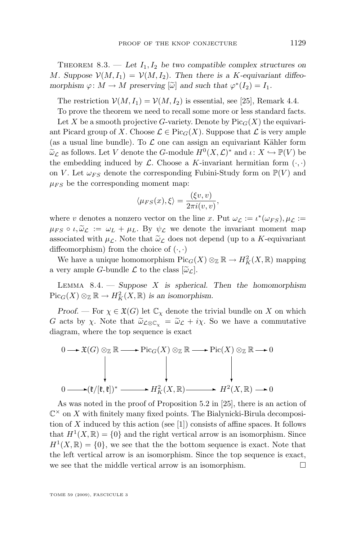THEOREM 8.3. — Let  $I_1, I_2$  be two compatible complex structures on M. Suppose  $\mathcal{V}(M, I_1) = \mathcal{V}(M, I_2)$ . Then there is a K-equivariant diffeo*morphism*  $\varphi: M \to M$  *preserving*  $[\tilde{\omega}]$  *and such that*  $\varphi^*(I_2) = I_1$ *.* 

The restriction  $\mathcal{V}(M, I_1) = \mathcal{V}(M, I_2)$  is essential, see [\[25\]](#page-30-0), Remark 4.4.

To prove the theorem we need to recall some more or less standard facts.

Let X be a smooth projective G-variety. Denote by  $Pic_G(X)$  the equivariant Picard group of X. Choose  $\mathcal{L} \in \text{Pic}_G(X)$ . Suppose that  $\mathcal{L}$  is very ample (as a usual line bundle). To  $\mathcal L$  one can assign an equivariant Kähler form  $\widetilde{\omega}_{\mathcal{L}}$  as follows. Let V denote the G-module  $H^0(X, \mathcal{L})^*$  and  $\iota: X \hookrightarrow \mathbb{P}(V)$  be the exphedding induced by C. Chaose a K invariant benefition form (e) the embedding induced by  $\mathcal L$ . Choose a K-invariant hermitian form  $(\cdot, \cdot)$ on V. Let  $\omega_{FS}$  denote the corresponding Fubini-Study form on  $\mathbb{P}(V)$  and  $\mu_{FS}$  be the corresponding moment map:

$$
\langle \mu_{FS}(x), \xi \rangle = \frac{(\xi v, v)}{2\pi i(v, v)},
$$

where v denotes a nonzero vector on the line x. Put  $\omega_{\mathcal{L}} := \iota^*(\omega_{FS}), \mu_{\mathcal{L}} :=$  $\mu_{FS} \circ \iota, \widetilde{\omega}_{\mathcal{L}} := \omega_L + \mu_L$ . By  $\psi_{\mathcal{L}}$  we denote the invariant moment map associated with  $\mu_{\mathcal{L}}$ . Note that  $\tilde{\omega}_{\mathcal{L}}$  does not depend (up to a K-equivariant diffeomorphism) from the choice of  $(\cdot, \cdot)$ 

We have a unique homomorphism  $Pic_G(X) \otimes_{\mathbb{Z}} \mathbb{R} \to H^2_K(X, \mathbb{R})$  mapping a very ample G-bundle  $\mathcal L$  to the class  $[\widetilde{\omega}_\mathcal{L}].$ 

Lemma 8.4. — *Suppose* X *is spherical. Then the homomorphism*  $Pic_G(X) \otimes_{\mathbb{Z}} \mathbb{R} \to H^2_K(X, \mathbb{R})$  *is an isomorphism.* 

*Proof.* — For  $\chi \in \mathfrak{X}(G)$  let  $\mathbb{C}_{\chi}$  denote the trivial bundle on X on which G acts by  $\chi$ . Note that  $\widetilde{\omega}_{\mathcal{L}\otimes\mathbb{C}_{\chi}} = \widetilde{\omega}_{\mathcal{L}} + i\chi$ . So we have a commutative diagram, where the top sequence is exact

$$
0 \longrightarrow \mathfrak{X}(G) \otimes_{\mathbb{Z}} \mathbb{R} \longrightarrow \mathrm{Pic}_G(X) \otimes_{\mathbb{Z}} \mathbb{R} \longrightarrow \mathrm{Pic}(X) \otimes_{\mathbb{Z}} \mathbb{R} \longrightarrow 0
$$
  
\n
$$
\downarrow \qquad \qquad \downarrow \qquad \qquad \downarrow
$$
  
\n
$$
0 \longrightarrow (\mathfrak{k}/[\mathfrak{k}, \mathfrak{k}])^* \longrightarrow H^2_K(X, \mathbb{R}) \longrightarrow H^2(X, \mathbb{R}) \longrightarrow 0
$$

As was noted in the proof of Proposition 5.2 in [\[25\]](#page-30-0), there is an action of  $\mathbb{C}^{\times}$  on X with finitely many fixed points. The Bialynicki-Birula decomposi-tion of X induced by this action (see [\[1\]](#page-29-0)) consists of affine spaces. It follows that  $H^1(X,\mathbb{R}) = \{0\}$  and the right vertical arrow is an isomorphism. Since  $H<sup>1</sup>(X,\mathbb{R}) = \{0\}$ , we see that the the bottom sequence is exact. Note that the left vertical arrow is an isomorphism. Since the top sequence is exact, we see that the middle vertical arrow is an isomorphism.  $\Box$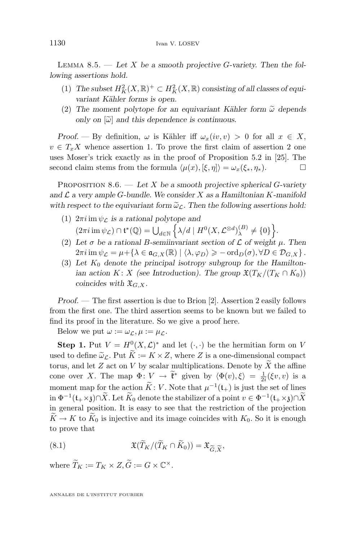<span id="page-26-0"></span>Lemma 8.5. — *Let* X *be a smooth projective* G*-variety. Then the following assertions hold.*

- (1) The subset  $H_K^2(X, \mathbb{R})^+ \subset H_K^2(X, \mathbb{R})$  consisting of all classes of equi*variant Kähler forms is open.*
- (2) The moment polytope for an equivariant Kähler form  $\tilde{\omega}$  depends *only on*  $[\tilde{\omega}]$  *and this dependence is continuous.*

*Proof.* — By definition,  $\omega$  is Kähler iff  $\omega_x(iv, v) > 0$  for all  $x \in X$ ,  $v \in T_xX$  whence assertion 1. To prove the first claim of assertion 2 one uses Moser's trick exactly as in the proof of Proposition 5.2 in [\[25\]](#page-30-0). The second claim stems from the formula  $\langle \mu(x), [\xi, \eta] \rangle = \omega_x(\xi_*, \eta_*)$ .

Proposition 8.6. — *Let* X *be a smooth projective spherical* G*-variety and* L *a very ample* G*-bundle. We consider* X *as a Hamiltonian* K*-manifold* with respect to the equivariant form  $\tilde{\omega}_{\mathcal{L}}$ . Then the following assertions hold:

- (1)  $2\pi i$  im  $\psi_{\mathcal{L}}$  *is a rational polytope and*  $(2\pi i \operatorname{im} \psi_{\mathcal{L}}) \cap {\mathfrak{t}}^*(\mathbb{Q}) = \bigcup_{d \in \mathbb{N}} \left\{ \lambda/d \mid H^0(X, \mathcal{L}^{\otimes d})_{\lambda}^{(B)} \right\}$  $\left\{\lambda\right\}^{(B)}\neq\{0\}\right\}.$
- (2) Let  $\sigma$  be a rational B-semiinvariant section of  $\mathcal L$  of weight  $\mu$ . Then  $2\pi i \operatorname{im} \psi_{\mathcal{L}} = \mu + \{\lambda \in \mathfrak{a}_{G,X}(\mathbb{R}) \mid \langle \lambda, \varphi_D \rangle \geqslant -\operatorname{ord}_D(\sigma), \forall D \in \mathcal{D}_{G,X} \}.$
- $(3)$  Let  $K_0$  denote the principal isotropy subgroup for the Hamilton*ian action* K: X *(see Introduction). The group*  $\mathfrak{X}(T_K/(T_K \cap K_0))$ *coincides with*  $\mathfrak{X}_{G,X}$ *.*

*Proof. —* The first assertion is due to Brion [\[2\]](#page-29-0). Assertion 2 easily follows from the first one. The third assertion seems to be known but we failed to find its proof in the literature. So we give a proof here.

Below we put  $\omega := \omega_{\mathcal{L}}, \mu := \mu_{\mathcal{L}}.$ 

**Step 1.** Put  $V = H^0(X, \mathcal{L})^*$  and let  $(\cdot, \cdot)$  be the hermitian form on V used to define  $\tilde{\omega}_{\mathcal{L}}$ . Put  $\tilde{K} := K \times Z$ , where Z is a one-dimensional compact torus, and let  $Z$  act on  $V$  by scalar multiplications. Denote by  $X$  the affine cone over X. The map  $\Phi: V \to \tilde{\mathfrak{k}}^*$  given by  $\langle \Phi(v), \xi \rangle = \frac{1}{2i} (\xi v, v)$  is a moment map for the action  $\widetilde{K}: V$ . Note that  $\mu^{-1}(\mathfrak{t}_{+})$  is just the set of lines in  $\Phi^{-1}(\mathfrak{t}_+\times\mathfrak{z})\cap\widetilde{X}$ . Let  $\widetilde{K}_0$  denote the stabilizer of a point  $v\in\Phi^{-1}(\mathfrak{t}_+\times\mathfrak{z})\cap\widetilde{X}$ in general position. It is easy to see that the restriction of the projection  $\widetilde{K} \to K$  to  $\widetilde{K}_0$  is injective and its image coincides with  $K_0$ . So it is enough to prove that

(8.1) 
$$
\mathfrak{X}(\widetilde{T}_K/(\widetilde{T}_K \cap \widetilde{K}_0)) = \mathfrak{X}_{\widetilde{G}, \widetilde{X}},
$$

where  $\widetilde{T}_K := T_K \times Z, \widetilde{G} := G \times \mathbb{C}^{\times}$ .

ANNALES DE L'INSTITUT FOURIER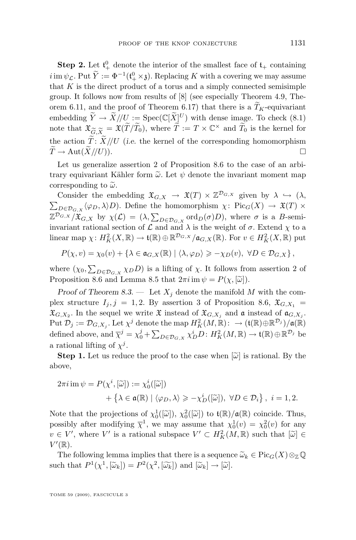<span id="page-27-0"></span>**Step 2.** Let  $\mathfrak{t}^0_+$  denote the interior of the smallest face of  $\mathfrak{t}_+$  containing  $i \operatorname{im} \psi_{\mathcal{L}}$ . Put  $Y := \Phi^{-1}(\mathfrak{t}^0_+ \times \mathfrak{z})$ . Replacing K with a covering we may assume that  $K$  is the direct product of a torus and a simply connected semisimple group. It follows now from results of [\[8\]](#page-29-0) (see especially Theorem 4.9, Theorem 6.11, and the proof of Theorem 6.17) that there is a  $\widetilde{T}_K$ -equivariant embedding  $\widetilde{Y} \to \widetilde{X}/\!/\!U := \operatorname{Spec}(\mathbb{C}[\widetilde{X}]^U)$  with dense image. To check  $(8.1)$ note that  $\mathfrak{X}_{\widetilde{G},\widetilde{X}} = \mathfrak{X}(\widetilde{T}/\widetilde{T}_0)$ , where  $\widetilde{T} := T \times \mathbb{C}^\times$  and  $\widetilde{T}_0$  is the kernel for<br>the action  $\widetilde{T} : \widetilde{Y}/I\overline{I}$  (i.e. the kernel of the corresponding homomorphism the action  $\tilde{T}: \tilde{X}/\!/\!U$  (*i.e.* the kernel of the corresponding homomorphism  $\tilde{T} \rightarrow \text{Aut}(\tilde{X}/\!/\!U)$ )  $\widetilde{T} \to \mathrm{Aut}(\widetilde{X}/\!/U)).$ 

Let us generalize assertion 2 of Proposition [8.6](#page-26-0) to the case of an arbitrary equivariant Kähler form  $\tilde{\omega}$ . Let  $\psi$  denote the invariant moment map corresponding to  $\tilde{\omega}$ .

Consider the embedding  $\mathfrak{X}_{G,X} \to \mathfrak{X}(T) \times \mathbb{Z}^{\mathcal{D}_{G,X}}$  given by  $\lambda \hookrightarrow (\lambda, \lambda)$  $\sum_{D \in \mathcal{D}_{G,X}} \langle \varphi_D, \lambda \rangle D$ . Define the homomorphism  $\chi: \text{Pic}_G(X) \to \mathfrak{X}(T) \times$  $\mathbb{Z}^{\mathcal{D}_{G,X}}/\mathfrak{X}_{G,X}$  by  $\chi(\mathcal{L}) = (\lambda, \sum_{D \in \mathcal{D}_{G,X}} \text{ord}_D(\sigma)D)$ , where  $\sigma$  is a B-semiinvariant rational section of  $\mathcal L$  and and  $\lambda$  is the weight of  $\sigma$ . Extend  $\chi$  to a linear map  $\chi: H^2_K(X, \mathbb{R}) \to \mathfrak{t}(\mathbb{R}) \oplus \mathbb{R}^{\mathcal{D}_{G,X}}/\mathfrak{a}_{G,X}(\mathbb{R})$ . For  $v \in H^2_K(X, \mathbb{R})$  put

 $P(\chi, v) = \chi_0(v) + \{\lambda \in \mathfrak{a}_{G,X}(\mathbb{R}) \mid \langle \lambda, \varphi_D \rangle \geqslant -\chi_D(v), \ \forall D \in \mathcal{D}_{G,X} \},$ 

where  $(\chi_0, \sum_{D \in \mathcal{D}_{G,X}} \chi_D D)$  is a lifting of  $\chi$ . It follows from assertion 2 of Proposition [8.6](#page-26-0) and Lemma [8.5](#page-26-0) that  $2\pi i$  im  $\psi = P(\chi, [\tilde{\omega}])$ .

*Proof of Theorem [8.3.](#page-24-0)* — Let  $X_j$  denote the manifold M with the complex structure  $I_j$ ,  $j = 1, 2$ . By assertion 3 of Proposition [8.6,](#page-26-0)  $\mathfrak{X}_{G,X_1} =$  $\mathfrak{X}_{G,X_2}$ . In the sequel we write  $\mathfrak{X}$  instead of  $\mathfrak{X}_{G,X_j}$  and  $\mathfrak{a}$  instead of  $\mathfrak{a}_{G,X_j}$ .  $\mathrm{Put}\ \mathcal{D}_j:=\mathcal{D}_{G,X_j}.$  Let  $\chi^j$  denote the map  $H^2_K(M,\mathbb{R})\colon\to(\mathfrak{t}(\mathbb{R})\oplus\mathbb{R}^{\mathcal{D}_j})/\mathfrak{a}(\mathbb{R})$ defined above, and  $\overline{\chi}^j = \chi_0^j + \sum_{D \in \mathcal{D}_{G,X}} \chi_D^i D$ :  $H_K^2(M, \mathbb{R}) \to \mathfrak{t}(\mathbb{R}) \oplus \mathbb{R}^{\mathcal{D}_j}$  be a rational lifting of  $\chi^j$ .

**Step 1.** Let us reduce the proof to the case when  $[\widetilde{\omega}]$  is rational. By the above,

$$
2\pi i \operatorname{im} \psi = P(\chi^i, [\widetilde{\omega}]) := \chi_0^i([\widetilde{\omega}])
$$
  
+  $\{\lambda \in \mathfrak{a}(\mathbb{R}) \mid \langle \varphi_D, \lambda \rangle \geq -\chi_D^i([\widetilde{\omega}]), \ \forall D \in \mathcal{D}_i\}, \ i = 1, 2.$ 

Note that the projections of  $\chi_0^1([\tilde{\omega}])$ ,  $\chi_0^2([\tilde{\omega}])$  to  $\mathfrak{t}(\mathbb{R})/\mathfrak{a}(\mathbb{R})$  coincide. Thus, possibly after modifying  $\overline{\chi}^1$ , we may assume that  $\chi_0^1(v) = \chi_0^2(v)$  for any  $v \in V'$ , where V' is a rational subspace  $V' \subset H^2_K(M, \mathbb{R})$  such that  $[\tilde{\omega}] \in V'(\mathbb{R})$  $V'(\mathbb{R})$ .

The following lemma implies that there is a sequence  $\widetilde{\omega}_k \in \text{Pic}_G(X) \otimes_{\mathbb{Z}} \mathbb{Q}$ such that  $P^1(\chi^1, [\tilde{\omega}_k]) = P^2(\chi^2, [\tilde{\omega}_k])$  and  $[\tilde{\omega}_k] \to [\tilde{\omega}]$ .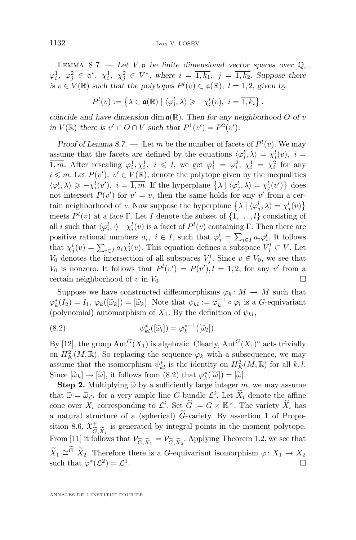LEMMA 8.7. — Let  $V$ ,  $\mathfrak a$  be finite dimensional vector spaces over  $\mathbb Q$ ,  $\varphi_i^1, \varphi_j^2 \in \mathfrak{a}^*, \chi_i^1, \chi_j^2 \in V^*,$  where  $i = \overline{1, k_1}, j = \overline{1, k_2}.$  Suppose there *is*  $v \in V(\mathbb{R})$  *such that the polytopes*  $P^l(v) \subset \mathfrak{a}(\mathbb{R})$ ,  $l = 1, 2$ , *given by* 

$$
P^l(v) := \left\{ \lambda \in \mathfrak{a}(\mathbb{R}) \mid \langle \varphi_i^l, \lambda \rangle \geqslant -\chi_i^l(v), \ i = \overline{1, k_i} \right\}.
$$

*coincide and have dimension* dim  $\mathfrak{a}(\mathbb{R})$ *. Then for any neighborhood* O *of* v *in*  $V(\mathbb{R})$  *there is*  $v' \in O \cap V$  *such that*  $P^1(v') = P^2(v')$ *.* 

*Proof of Lemma [8.7.](#page-27-0)* — Let m be the number of facets of  $P^l(v)$ . We may assume that the facets are defined by the equations  $\langle \varphi_i^l, \lambda \rangle = \chi_i^l(v)$ ,  $i =$  $\overline{1,m}$ . After rescaling  $\varphi_i^1, \chi_i^1, i \leq l$ , we get  $\varphi_i^1 = \varphi_i^2, \chi_i^1 = \chi_i^2$  for any  $i \leq m$ . Let  $P(v')$ ,  $v' \in V(\mathbb{R})$ , denote the polytope given by the inequalities  $\langle \varphi_i^l, \lambda \rangle \geq -\chi_i^l(v'), i = \overline{1,m}$ . If the hyperplane  $\{\lambda \mid \langle \varphi_j^l, \lambda \rangle = \chi_j^l(v')\}$  does not intersect  $P(v')$  for  $v' = v$ , then the same holds for any v' from a certain neighborhood of v. Now suppose the hyperplane  $\{\lambda \mid \langle \varphi_j^l, \lambda \rangle = \chi_j^l(v)\}\$ meets  $P^l(v)$  at a face Γ. Let I denote the subset of  $\{1,\ldots,l\}$  consisting of all *i* such that  $\langle \varphi_i^l, \cdot \rangle - \chi_i^l(v)$  is a facet of  $P^l(v)$  containing Γ. Then there are positive rational numbers  $a_i, i \in I$ , such that  $\varphi_j^l = \sum_{i \in I} a_i \varphi_i^l$ . It follows that  $\chi_j^l(v) = \sum_{i \in I} a_i \chi_i^l(v)$ . This equation defines a subspace  $V_j^l \subset V$ . Let  $V_0$  denotes the intersection of all subspaces  $V_j^l$ . Since  $v \in V_0$ , we see that  $V_0$  is nonzero. It follows that  $P^l(v') = P(v'), l = 1, 2$ , for any v' from a certain neighborhood of v in  $V_0$ .

Suppose we have constructed diffeomorphisms  $\varphi_k \colon M \to M$  such that  $\varphi_k^*(I_2) = I_1$ ,  $\varphi_k([\tilde{\omega}_k]) = [\tilde{\omega}_k]$ . Note that  $\psi_{kl} := \varphi_k^{-1} \circ \varphi_l$  is a *G*-equivariant (polynomial) outomorphism of *Y*. By the definition of *N*. (polynomial) automorphism of  $X_1$ . By the definition of  $\psi_{kl}$ ,

(8.2) 
$$
\psi_{kl}^*([\widetilde{\omega}_l]) = \varphi_k^{*-1}([\widetilde{\omega}_l]).
$$

By [\[12\]](#page-29-0), the group  $\mathrm{Aut}^G(X_1)$  is algebraic. Clearly,  $\mathrm{Aut}^G(X_1)^\circ$  acts trivially on  $H_K^2(M,\mathbb{R})$ . So replacing the sequence  $\varphi_k$  with a subsequence, we may assume that the isomorphism  $\psi_{kl}^*$  is the identity on  $H_K^2(M, \mathbb{R})$  for all  $k, l$ . Since  $[\tilde{\omega}_k] \to [\tilde{\omega}],$  it follows from (8.2) that  $\varphi_k^*([\tilde{\omega}]) = [\tilde{\omega}].$ <br>Stap 2. Multiplying  $\tilde{\omega}$  by a sufficiently large integer

**Step 2.** Multiplying  $\tilde{\omega}$  by a sufficiently large integer m, we may assume that  $\widetilde{\omega} = \widetilde{\omega}_{\mathcal{L}^i}$  for a very ample line G-bundle  $\mathcal{L}^i$ . Let  $\widetilde{X}_i$  denote the affine cone over  $X_i$  corresponding to  $\mathcal{L}^i$ . Set  $\widetilde{G} := G \times \mathbb{K}^\times$ . The variety  $\widetilde{X}_i$  has a natural structure of a (spherical)  $\ddot{G}$ -variety. By assertion 1 of Propo-sition [8.6,](#page-26-0)  $\mathfrak{X}_{\alpha}^+$  is generated by integral points in the moment polytope. From [\[11\]](#page-29-0) it follows that  $V_{\widetilde{G}, \widetilde{X}_1} = V_{\widetilde{G}, \widetilde{X}_2}$ . Applying Theorem [1.2,](#page-2-0) we see that  $\widetilde{X}_1 \cong^G \widetilde{X}_2$ . Therefore there is a G-equivariant isomorphism  $\varphi \colon X_1 \to X_2$ such that  $\varphi^*(\mathcal{L}^2) = \mathcal{L}^1$ .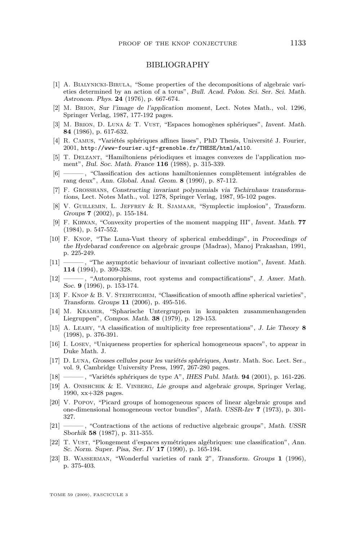#### BIBLIOGRAPHY

- <span id="page-29-0"></span>[1] A. Bialynicki-Birula, "Some properties of the decompositions of algebraic varieties determined by an action of a torus", *Bull. Acad. Polon. Sci. Ser. Sci. Math. Astronom. Phys.* **24** (1976), p. 667-674.
- [2] M. Brion, *Sur l'image de l'application moment*, Lect. Notes Math., vol. 1296, Springer Verlag, 1987, 177-192 pages.
- [3] M. Brion, D. Luna & T. Vust, "Espaces homogènes sphériques", *Invent. Math.* **84** (1986), p. 617-632.
- [4] R. Camus, "Variétés sphériques affines lisses", PhD Thesis, Université J. Fourier, 2001, <http://www-fourier.ujf-grenoble.fr/THESE/html/a110>.
- [5] T. Delzant, "Hamiltoniens périodiques et images convexes de l'application moment", *Bul. Soc. Math. France* **116** (1988), p. 315-339.
- [6] ——— , "Classification des actions hamiltoniennes complètement intégrables de rang deux", *Ann. Global. Anal. Geom.* **8** (1990), p. 87-112.
- [7] F. Grosshans, *Constructing invariant polynomials via Tschirnhaus transformations*, Lect. Notes Math., vol. 1278, Springer Verlag, 1987, 95-102 pages.
- [8] V. Guillemin, L. Jeffrey & R. Sjamaar, "Symplectic implosion", *Transform. Groups* **7** (2002), p. 155-184.
- [9] F. Kirwan, "Convexity properties of the moment mapping III", *Invent. Math.* **77** (1984), p. 547-552.
- [10] F. Knop, "The Luna-Vust theory of spherical embeddings", in *Proceedings of the Hydebarad conference on algebraic groups* (Madras), Manoj Prakashan, 1991, p. 225-249.
- [11] ——— , "The asymptotic behaviour of invariant collective motion", *Invent. Math.* **114** (1994), p. 309-328.
- [12] ——— , "Automorphisms, root systems and compactifications", *J. Amer. Math. Soc.* **9** (1996), p. 153-174.
- [13] F. Knop & B. V. Steirteghem, "Classification of smooth affine spherical varieties", *Transform. Groups* **11** (2006), p. 495-516.
- [14] M. Kramer, "Spharische Untergruppen in kompakten zusammenhangenden Liegruppen", *Compos. Math.* **38** (1979), p. 129-153.
- [15] A. Leahy, "A classification of multiplicity free representations", *J. Lie Theory* **8** (1998), p. 376-391.
- [16] I. LOSEV, "Uniqueness properties for spherical homogeneous spaces", to appear in Duke Math. J.
- [17] D. Luna, *Grosses cellules pour les variétés sphériques*, Austr. Math. Soc. Lect. Ser., vol. 9, Cambridge University Press, 1997, 267-280 pages.
- [18] ——— , "Variétés sphériques de type A", *IHES Publ. Math.* **94** (2001), p. 161-226.
- [19] A. Onishchik & E. Vinberg, *Lie groups and algebraic groups*, Springer Verlag, 1990, xx+328 pages.
- [20] V. Popov, "Picard groups of homogeneous spaces of linear algebraic groups and one-dimensional homogeneous vector bundles", *Math. USSR-Izv* **7** (1973), p. 301- 327.
- [21] ——— , "Contractions of the actions of reductive algebraic groups", *Math. USSR Sborhik* **58** (1987), p. 311-355.
- [22] T. Vust, "Plongement d'espaces symétriques algébriques: une classification", *Ann. Sc. Norm. Super. Pisa, Ser. IV* **17** (1990), p. 165-194.
- [23] B. Wasserman, "Wonderful varieties of rank 2", *Transform. Groups* **1** (1996), p. 375-403.